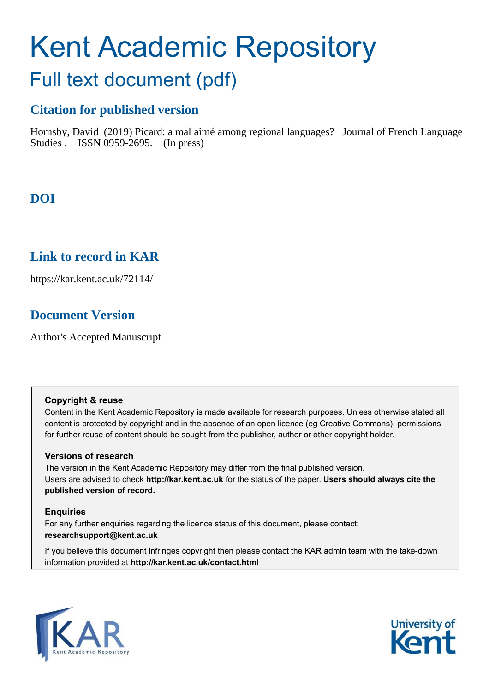# Kent Academic Repository Full text document (pdf)

# **Citation for published version**

Hornsby, David (2019) Picard: a mal aimé among regional languages? Journal of French Language Studies . ISSN 0959-2695. (In press)

# **DOI**

## **Link to record in KAR**

https://kar.kent.ac.uk/72114/

# **Document Version**

Author's Accepted Manuscript

## **Copyright & reuse**

Content in the Kent Academic Repository is made available for research purposes. Unless otherwise stated all content is protected by copyright and in the absence of an open licence (eg Creative Commons), permissions for further reuse of content should be sought from the publisher, author or other copyright holder.

## **Versions of research**

The version in the Kent Academic Repository may differ from the final published version. Users are advised to check **http://kar.kent.ac.uk** for the status of the paper. **Users should always cite the published version of record.**

## **Enquiries**

For any further enquiries regarding the licence status of this document, please contact: **researchsupport@kent.ac.uk**

If you believe this document infringes copyright then please contact the KAR admin team with the take-down information provided at **http://kar.kent.ac.uk/contact.html**



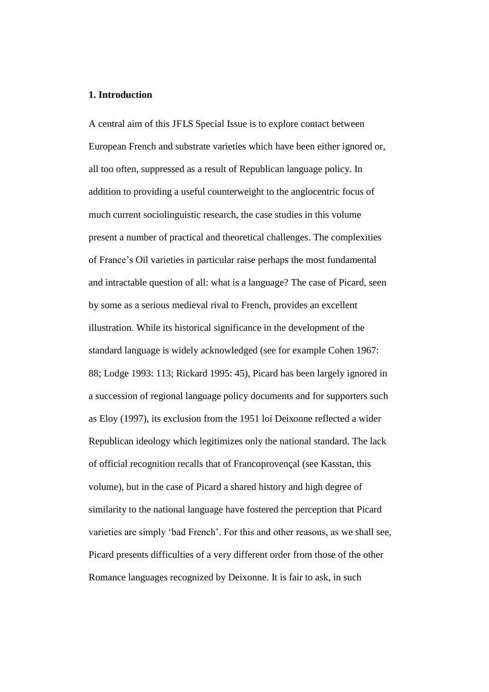#### **1. Introduction**

A central aim of this JFLS Special Issue is to explore contact between European French and substrate varieties which have been either ignored or, all too often, suppressed as a result of Republican language policy. In addition to providing a useful counterweight to the anglocentric focus of much current sociolinguistic research, the case studies in this volume present a number of practical and theoretical challenges. The complexities of France's Oïl varieties in particular raise perhaps the most fundamental and intractable question of all: what is a language? The case of Picard, seen by some as a serious medieval rival to French, provides an excellent illustration. While its historical significance in the development of the standard language is widely acknowledged (see for example Cohen 1967: 88; Lodge 1993: 113; Rickard 1995: 45), Picard has been largely ignored in a succession of regional language policy documents and for supporters such as Eloy (1997), its exclusion from the 1951 loi Deixonne reflected a wider Republican ideology which legitimizes only the national standard. The lack of official recognition recalls that of Francoprovençal (see Kasstan, this volume), but in the case of Picard a shared history and high degree of similarity to the national language have fostered the perception that Picard varieties are simply 'bad French'. For this and other reasons, as we shall see, Picard presents difficulties of a very different order from those of the other Romance languages recognized by Deixonne. It is fair to ask, in such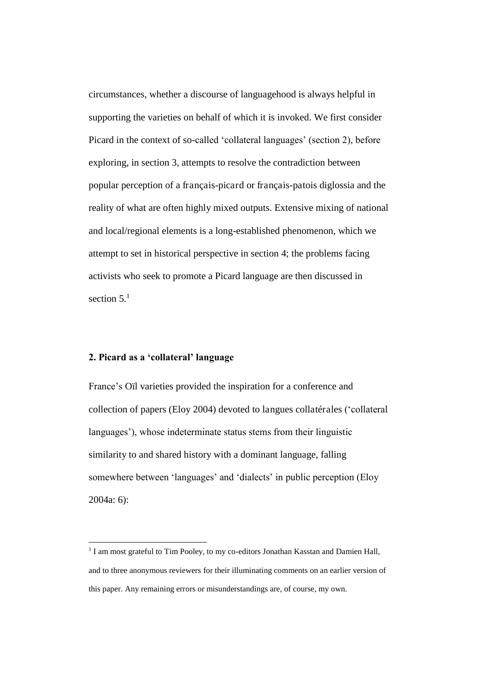circumstances, whether a discourse of languagehood is always helpful in supporting the varieties on behalf of which it is invoked. We first consider Picard in the context of so-called 'collateral languages' (section 2), before exploring, in section 3, attempts to resolve the contradiction between popular perception of a français-picard or français-patois diglossia and the reality of what are often highly mixed outputs. Extensive mixing of national and local/regional elements is a long-established phenomenon, which we attempt to set in historical perspective in section 4; the problems facing activists who seek to promote a Picard language are then discussed in section  $5.<sup>1</sup>$ 

#### **2. Picard as a 'collateral' language**

 $\overline{a}$ 

France's Oïl varieties provided the inspiration for a conference and collection of papers (Eloy 2004) devoted to langues collatérales ('collateral languages'), whose indeterminate status stems from their linguistic similarity to and shared history with a dominant language, falling somewhere between 'languages' and 'dialects' in public perception (Eloy 2004a: 6):

<sup>&</sup>lt;sup>1</sup> I am most grateful to Tim Pooley, to my co-editors Jonathan Kasstan and Damien Hall, and to three anonymous reviewers for their illuminating comments on an earlier version of this paper. Any remaining errors or misunderstandings are, of course, my own.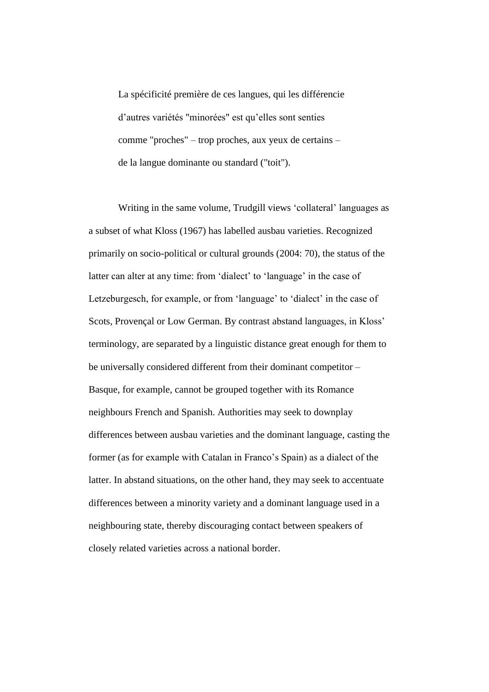La spécificité première de ces langues, qui les différencie d'autres variétés "minorées" est qu'elles sont senties comme "proches" – trop proches, aux yeux de certains – de la langue dominante ou standard ("toit").

Writing in the same volume, Trudgill views 'collateral' languages as a subset of what Kloss (1967) has labelled ausbau varieties. Recognized primarily on socio-political or cultural grounds (2004: 70), the status of the latter can alter at any time: from 'dialect' to 'language' in the case of Letzeburgesch, for example, or from 'language' to 'dialect' in the case of Scots, Provençal or Low German. By contrast abstand languages, in Kloss' terminology, are separated by a linguistic distance great enough for them to be universally considered different from their dominant competitor – Basque, for example, cannot be grouped together with its Romance neighbours French and Spanish. Authorities may seek to downplay differences between ausbau varieties and the dominant language, casting the former (as for example with Catalan in Franco's Spain) as a dialect of the latter. In abstand situations, on the other hand, they may seek to accentuate differences between a minority variety and a dominant language used in a neighbouring state, thereby discouraging contact between speakers of closely related varieties across a national border.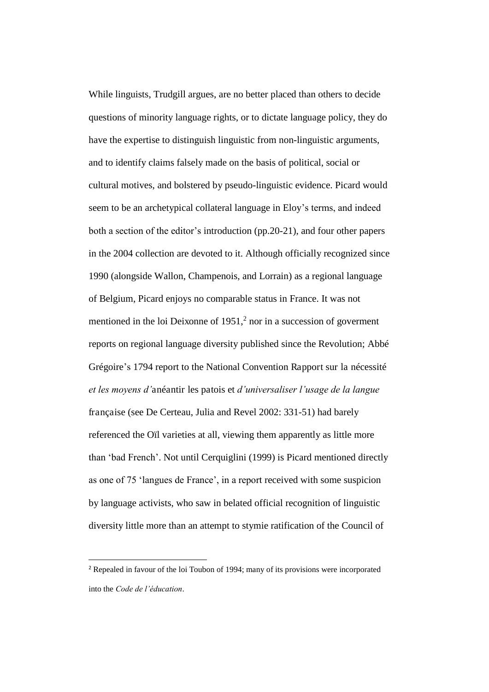While linguists, Trudgill argues, are no better placed than others to decide questions of minority language rights, or to dictate language policy, they do have the expertise to distinguish linguistic from non-linguistic arguments, and to identify claims falsely made on the basis of political, social or cultural motives, and bolstered by pseudo-linguistic evidence. Picard would seem to be an archetypical collateral language in Eloy's terms, and indeed both a section of the editor's introduction (pp.20-21), and four other papers in the 2004 collection are devoted to it. Although officially recognized since 1990 (alongside Wallon, Champenois, and Lorrain) as a regional language of Belgium, Picard enjoys no comparable status in France. It was not mentioned in the loi Deixonne of  $1951$ ,<sup>2</sup> nor in a succession of governent reports on regional language diversity published since the Revolution; Abbé Grégoire's 1794 report to the National Convention Rapport sur la nécessité *et les moyens d'*anéantir les patois et *d'universaliser l'usage de la langue*  française (see De Certeau, Julia and Revel 2002: 331-51) had barely referenced the Oïl varieties at all, viewing them apparently as little more than 'bad French'. Not until Cerquiglini (1999) is Picard mentioned directly as one of 75 'langues de France', in a report received with some suspicion by language activists, who saw in belated official recognition of linguistic diversity little more than an attempt to stymie ratification of the Council of

<sup>&</sup>lt;sup>2</sup> Repealed in favour of the loi Toubon of 1994; many of its provisions were incorporated into the *Code de l'éducation*.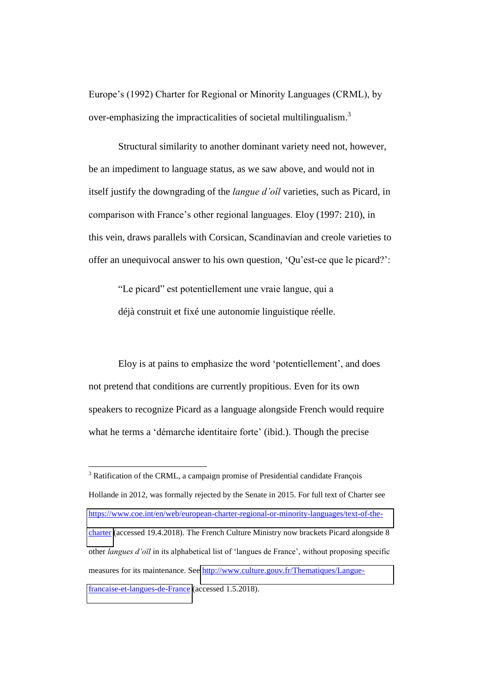Europe's (1992) Charter for Regional or Minority Languages (CRML), by over-emphasizing the impracticalities of societal multilingualism.<sup>3</sup>

Structural similarity to another dominant variety need not, however, be an impediment to language status, as we saw above, and would not in itself justify the downgrading of the *langue d'oîl* varieties, such as Picard, in comparison with France's other regional languages. Eloy (1997: 210), in this vein, draws parallels with Corsican, Scandinavian and creole varieties to offer an unequivocal answer to his own question, 'Qu'est-ce que le picard?':

"Le picard" est potentiellement une vraie langue, qui a déjà construit et fixé une autonomie linguistique réelle.

Eloy is at pains to emphasize the word 'potentiellement', and does not pretend that conditions are currently propitious. Even for its own speakers to recognize Picard as a language alongside French would require what he terms a 'démarche identitaire forte' (ibid.). Though the precise

<sup>&</sup>lt;sup>3</sup> Ratification of the CRML, a campaign promise of Presidential candidate François Hollande in 2012, was formally rejected by the Senate in 2015. For full text of Charter see [https://www.coe.int/en/web/european-charter-regional-or-minority-languages/text-of-the](https://www.coe.int/en/web/european-charter-regional-or-minority-languages/text-of-the-charter)[charter](https://www.coe.int/en/web/european-charter-regional-or-minority-languages/text-of-the-charter) (accessed 19.4.2018). The French Culture Ministry now brackets Picard alongside 8 other *langues d'oïl* in its alphabetical list of 'langues de France', without proposing specific measures for its maintenance. See [http://www.culture.gouv.fr/Thematiques/Langue](http://www.culture.gouv.fr/Thematiques/Langue-francaise-et-langues-de-France)[francaise-et-langues-de-France](http://www.culture.gouv.fr/Thematiques/Langue-francaise-et-langues-de-France) (accessed 1.5.2018).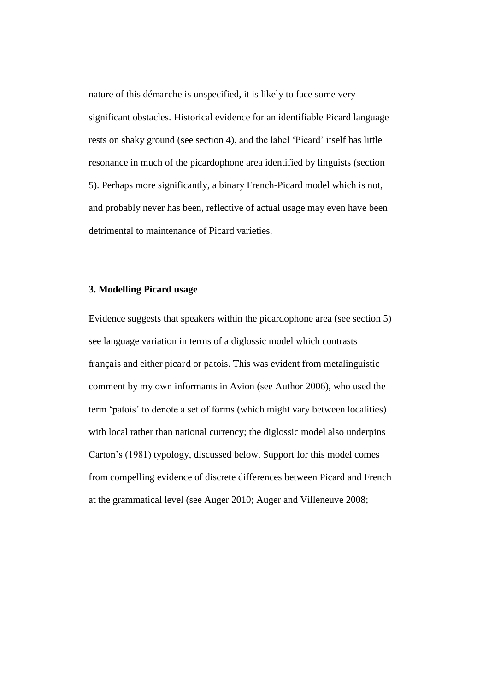nature of this démarche is unspecified, it is likely to face some very significant obstacles. Historical evidence for an identifiable Picard language rests on shaky ground (see section 4), and the label 'Picard' itself has little resonance in much of the picardophone area identified by linguists (section 5). Perhaps more significantly, a binary French-Picard model which is not, and probably never has been, reflective of actual usage may even have been detrimental to maintenance of Picard varieties.

### **3. Modelling Picard usage**

Evidence suggests that speakers within the picardophone area (see section 5) see language variation in terms of a diglossic model which contrasts français and either picard or patois. This was evident from metalinguistic comment by my own informants in Avion (see Author 2006), who used the term 'patois' to denote a set of forms (which might vary between localities) with local rather than national currency; the diglossic model also underpins Carton's (1981) typology, discussed below. Support for this model comes from compelling evidence of discrete differences between Picard and French at the grammatical level (see Auger 2010; Auger and Villeneuve 2008;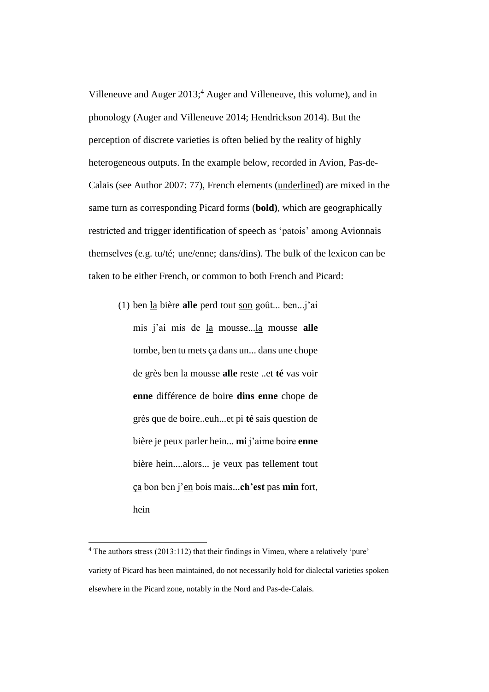Villeneuve and Auger 2013;<sup>4</sup> Auger and Villeneuve, this volume), and in phonology (Auger and Villeneuve 2014; Hendrickson 2014). But the perception of discrete varieties is often belied by the reality of highly heterogeneous outputs. In the example below, recorded in Avion, Pas-de-Calais (see Author 2007: 77), French elements (underlined) are mixed in the same turn as corresponding Picard forms (**bold)**, which are geographically restricted and trigger identification of speech as 'patois' among Avionnais themselves (e.g. tu/té; une/enne; dans/dins). The bulk of the lexicon can be taken to be either French, or common to both French and Picard:

(1) ben la bière **alle** perd tout son goût... ben...j'ai mis j'ai mis de la mousse...la mousse **alle** tombe, ben tu mets ça dans un... dans une chope de grès ben la mousse **alle** reste ..et **té** vas voir **enne** différence de boire **dins enne** chope de grès que de boire..euh...et pi **té** sais question de bière je peux parler hein... **mi** j'aime boire **enne** bière hein....alors... je veux pas tellement tout ça bon ben j'en bois mais...**ch'est** pas **min** fort, hein

<sup>4</sup> The authors stress (2013:112) that their findings in Vimeu, where a relatively 'pure' variety of Picard has been maintained, do not necessarily hold for dialectal varieties spoken elsewhere in the Picard zone, notably in the Nord and Pas-de-Calais.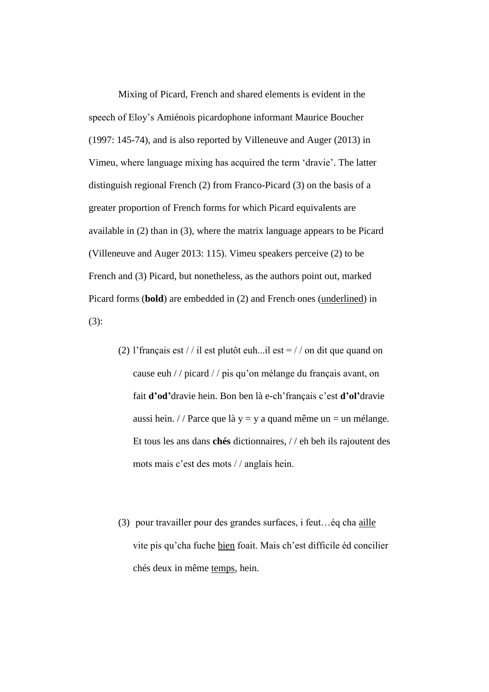Mixing of Picard, French and shared elements is evident in the speech of Eloy's Amiénois picardophone informant Maurice Boucher (1997: 145-74), and is also reported by Villeneuve and Auger (2013) in Vimeu, where language mixing has acquired the term 'dravie'. The latter distinguish regional French (2) from Franco-Picard (3) on the basis of a greater proportion of French forms for which Picard equivalents are available in (2) than in (3), where the matrix language appears to be Picard (Villeneuve and Auger 2013: 115). Vimeu speakers perceive (2) to be French and (3) Picard, but nonetheless, as the authors point out, marked Picard forms (**bold**) are embedded in (2) and French ones (underlined) in (3):

- (2) l'français est // il est plutôt euh...il est  $=$  // on dit que quand on cause euh / / picard / / pis qu'on mélange du français avant, on fait **d'od'**dravie hein. Bon ben là e-ch'français c'est **d'ol'**dravie aussi hein. // Parce que là y = y a quand même un = un mélange. Et tous les ans dans **chés** dictionnaires, / / eh beh ils rajoutent des mots mais c'est des mots / / anglais hein.
- (3) pour travailler pour des grandes surfaces, i feut…éq cha aille vite pis qu'cha fuche bien foait. Mais ch'est difficile éd concilier chés deux in même temps, hein.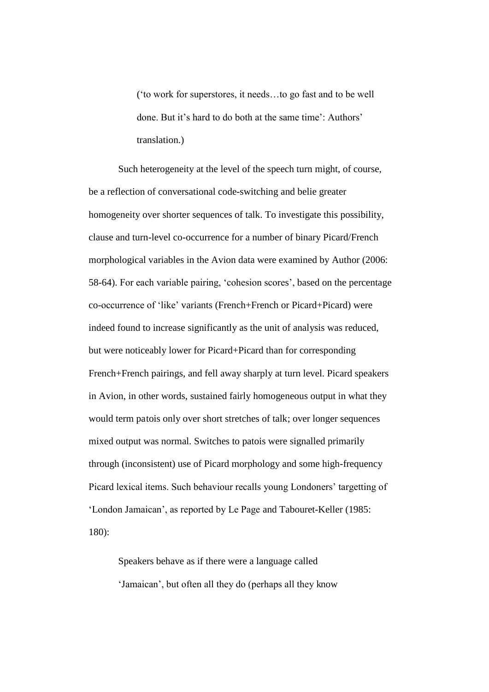('to work for superstores, it needs…to go fast and to be well done. But it's hard to do both at the same time': Authors' translation.)

Such heterogeneity at the level of the speech turn might, of course, be a reflection of conversational code-switching and belie greater homogeneity over shorter sequences of talk. To investigate this possibility, clause and turn-level co-occurrence for a number of binary Picard/French morphological variables in the Avion data were examined by Author (2006: 58-64). For each variable pairing, 'cohesion scores', based on the percentage co-occurrence of 'like' variants (French+French or Picard+Picard) were indeed found to increase significantly as the unit of analysis was reduced, but were noticeably lower for Picard+Picard than for corresponding French+French pairings, and fell away sharply at turn level. Picard speakers in Avion, in other words, sustained fairly homogeneous output in what they would term patois only over short stretches of talk; over longer sequences mixed output was normal. Switches to patois were signalled primarily through (inconsistent) use of Picard morphology and some high-frequency Picard lexical items. Such behaviour recalls young Londoners' targetting of 'London Jamaican', as reported by Le Page and Tabouret-Keller (1985: 180):

Speakers behave as if there were a language called 'Jamaican', but often all they do (perhaps all they know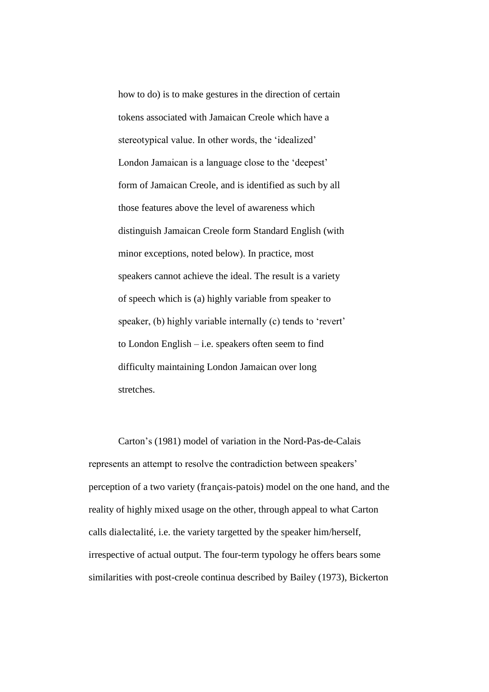how to do) is to make gestures in the direction of certain tokens associated with Jamaican Creole which have a stereotypical value. In other words, the 'idealized' London Jamaican is a language close to the 'deepest' form of Jamaican Creole, and is identified as such by all those features above the level of awareness which distinguish Jamaican Creole form Standard English (with minor exceptions, noted below). In practice, most speakers cannot achieve the ideal. The result is a variety of speech which is (a) highly variable from speaker to speaker, (b) highly variable internally (c) tends to 'revert' to London English – i.e. speakers often seem to find difficulty maintaining London Jamaican over long stretches.

Carton's (1981) model of variation in the Nord-Pas-de-Calais represents an attempt to resolve the contradiction between speakers' perception of a two variety (français-patois) model on the one hand, and the reality of highly mixed usage on the other, through appeal to what Carton calls dialectalité, i.e. the variety targetted by the speaker him/herself, irrespective of actual output. The four-term typology he offers bears some similarities with post-creole continua described by Bailey (1973), Bickerton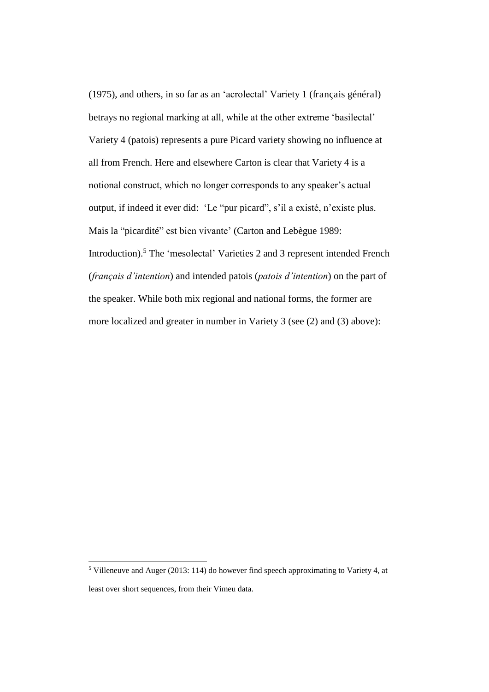(1975), and others, in so far as an 'acrolectal' Variety 1 (français général) betrays no regional marking at all, while at the other extreme 'basilectal' Variety 4 (patois) represents a pure Picard variety showing no influence at all from French. Here and elsewhere Carton is clear that Variety 4 is a notional construct, which no longer corresponds to any speaker's actual output, if indeed it ever did: 'Le "pur picard", s'il a existé, n'existe plus. Mais la "picardité" est bien vivante' (Carton and Lebègue 1989: Introduction).<sup>5</sup> The 'mesolectal' Varieties 2 and 3 represent intended French (*français d'intention*) and intended patois (*patois d'intention*) on the part of the speaker. While both mix regional and national forms, the former are more localized and greater in number in Variety 3 (see (2) and (3) above):

<sup>&</sup>lt;sup>5</sup> Villeneuve and Auger (2013: 114) do however find speech approximating to Variety 4, at least over short sequences, from their Vimeu data.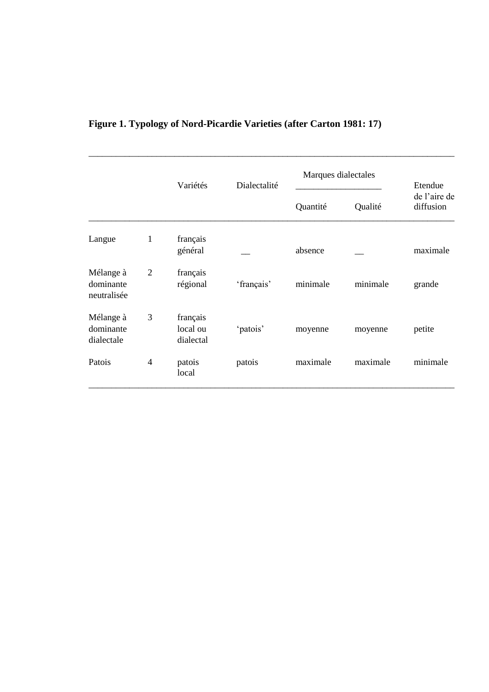|                                       |                | Variétés                          | Dialectalité | Marques dialectales |          | Etendue                   |
|---------------------------------------|----------------|-----------------------------------|--------------|---------------------|----------|---------------------------|
|                                       |                |                                   |              | Quantité            | Qualité  | de l'aire de<br>diffusion |
| Langue                                | 1              | français<br>général               |              | absence             |          | maximale                  |
| Mélange à<br>dominante<br>neutralisée | $\overline{2}$ | français<br>régional              | 'français'   | minimale            | minimale | grande                    |
| Mélange à<br>dominante<br>dialectale  | 3              | français<br>local ou<br>dialectal | 'patois'     | moyenne             | moyenne  | petite                    |
| Patois                                | 4              | patois<br>local                   | patois       | maximale            | maximale | minimale                  |

\_\_\_\_\_\_\_\_\_\_\_\_\_\_\_\_\_\_\_\_\_\_\_\_\_\_\_\_\_\_\_\_\_\_\_\_\_\_\_\_\_\_\_\_\_\_\_\_\_\_\_\_\_\_\_\_\_\_\_\_\_\_\_\_\_\_\_\_\_\_\_\_\_\_\_\_\_\_\_\_\_

# **Figure 1. Typology of Nord-Picardie Varieties (after Carton 1981: 17)**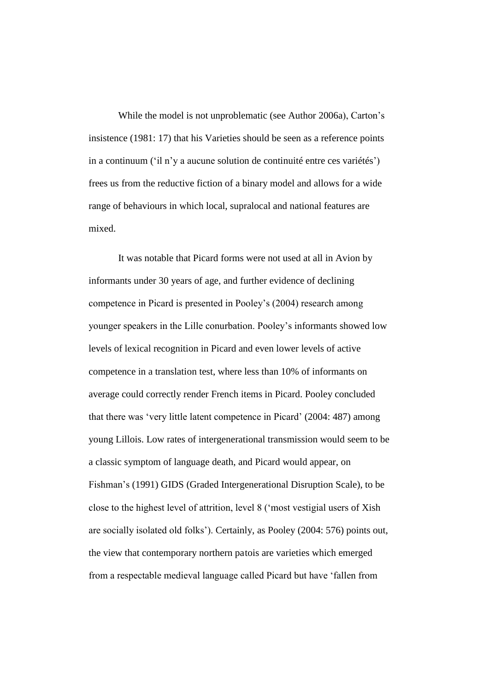While the model is not unproblematic (see Author 2006a), Carton's insistence (1981: 17) that his Varieties should be seen as a reference points in a continuum ('il n'y a aucune solution de continuité entre ces variétés') frees us from the reductive fiction of a binary model and allows for a wide range of behaviours in which local, supralocal and national features are mixed.

It was notable that Picard forms were not used at all in Avion by informants under 30 years of age, and further evidence of declining competence in Picard is presented in Pooley's (2004) research among younger speakers in the Lille conurbation. Pooley's informants showed low levels of lexical recognition in Picard and even lower levels of active competence in a translation test, where less than 10% of informants on average could correctly render French items in Picard. Pooley concluded that there was 'very little latent competence in Picard' (2004: 487) among young Lillois. Low rates of intergenerational transmission would seem to be a classic symptom of language death, and Picard would appear, on Fishman's (1991) GIDS (Graded Intergenerational Disruption Scale), to be close to the highest level of attrition, level 8 ('most vestigial users of Xish are socially isolated old folks'). Certainly, as Pooley (2004: 576) points out, the view that contemporary northern patois are varieties which emerged from a respectable medieval language called Picard but have 'fallen from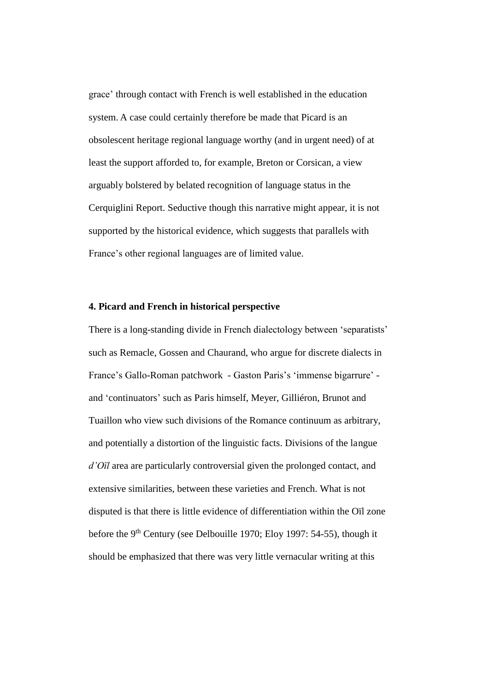grace' through contact with French is well established in the education system. A case could certainly therefore be made that Picard is an obsolescent heritage regional language worthy (and in urgent need) of at least the support afforded to, for example, Breton or Corsican, a view arguably bolstered by belated recognition of language status in the Cerquiglini Report. Seductive though this narrative might appear, it is not supported by the historical evidence, which suggests that parallels with France's other regional languages are of limited value.

#### **4. Picard and French in historical perspective**

There is a long-standing divide in French dialectology between 'separatists' such as Remacle, Gossen and Chaurand, who argue for discrete dialects in France's Gallo-Roman patchwork - Gaston Paris's 'immense bigarrure' and 'continuators' such as Paris himself, Meyer, Gilliéron, Brunot and Tuaillon who view such divisions of the Romance continuum as arbitrary, and potentially a distortion of the linguistic facts. Divisions of the langue *d'Oïl* area are particularly controversial given the prolonged contact, and extensive similarities, between these varieties and French. What is not disputed is that there is little evidence of differentiation within the Oïl zone before the 9<sup>th</sup> Century (see Delbouille 1970; Eloy 1997: 54-55), though it should be emphasized that there was very little vernacular writing at this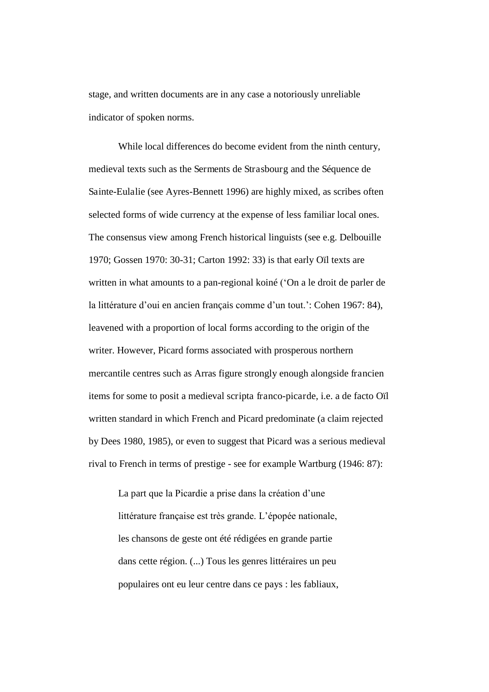stage, and written documents are in any case a notoriously unreliable indicator of spoken norms.

While local differences do become evident from the ninth century, medieval texts such as the Serments de Strasbourg and the Séquence de Sainte-Eulalie (see Ayres-Bennett 1996) are highly mixed, as scribes often selected forms of wide currency at the expense of less familiar local ones. The consensus view among French historical linguists (see e.g. Delbouille 1970; Gossen 1970: 30-31; Carton 1992: 33) is that early Oïl texts are written in what amounts to a pan-regional koiné ('On a le droit de parler de la littérature d'oui en ancien français comme d'un tout.': Cohen 1967: 84), leavened with a proportion of local forms according to the origin of the writer. However, Picard forms associated with prosperous northern mercantile centres such as Arras figure strongly enough alongside francien items for some to posit a medieval scripta franco-picarde, i.e. a de facto Oïl written standard in which French and Picard predominate (a claim rejected by Dees 1980, 1985), or even to suggest that Picard was a serious medieval rival to French in terms of prestige - see for example Wartburg (1946: 87):

La part que la Picardie a prise dans la création d'une littérature française est très grande. L'épopée nationale, les chansons de geste ont été rédigées en grande partie dans cette région. (...) Tous les genres littéraires un peu populaires ont eu leur centre dans ce pays : les fabliaux,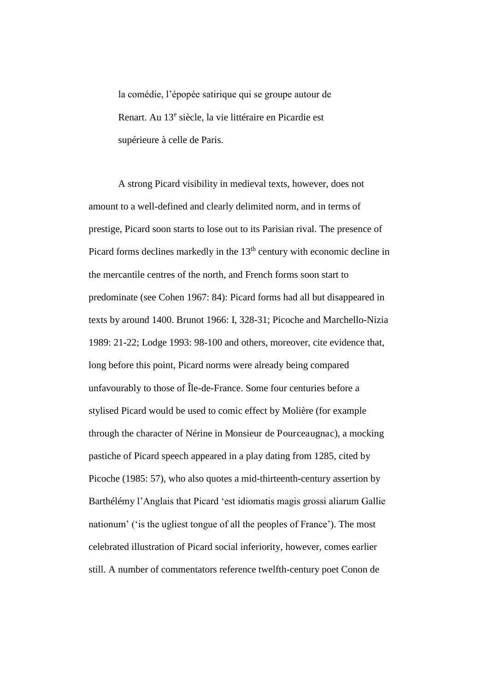la comédie, l'épopée satirique qui se groupe autour de Renart. Au 13<sup>e</sup> siècle, la vie littéraire en Picardie est supérieure à celle de Paris.

A strong Picard visibility in medieval texts, however, does not amount to a well-defined and clearly delimited norm, and in terms of prestige, Picard soon starts to lose out to its Parisian rival. The presence of Picard forms declines markedly in the 13<sup>th</sup> century with economic decline in the mercantile centres of the north, and French forms soon start to predominate (see Cohen 1967: 84): Picard forms had all but disappeared in texts by around 1400. Brunot 1966: I, 328-31; Picoche and Marchello-Nizia 1989: 21-22; Lodge 1993: 98-100 and others, moreover, cite evidence that, long before this point, Picard norms were already being compared unfavourably to those of Île-de-France. Some four centuries before a stylised Picard would be used to comic effect by Molière (for example through the character of Nérine in Monsieur de Pourceaugnac), a mocking pastiche of Picard speech appeared in a play dating from 1285, cited by Picoche (1985: 57), who also quotes a mid-thirteenth-century assertion by Barthélémy l'Anglais that Picard 'est idiomatis magis grossi aliarum Gallie nationum' ('is the ugliest tongue of all the peoples of France'). The most celebrated illustration of Picard social inferiority, however, comes earlier still. A number of commentators reference twelfth-century poet Conon de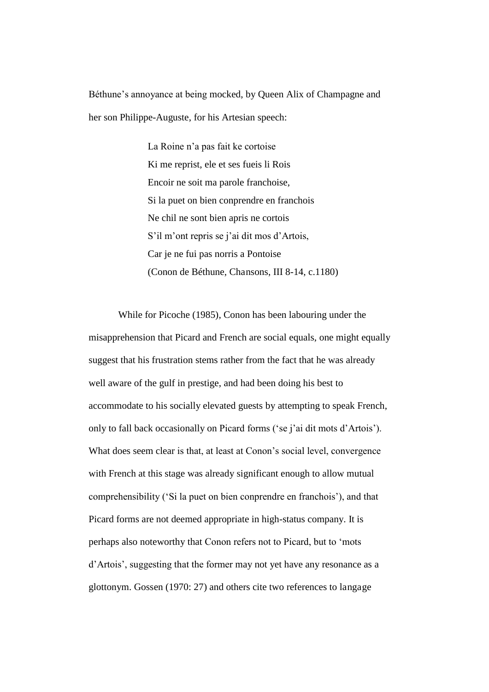Béthune's annoyance at being mocked, by Queen Alix of Champagne and her son Philippe-Auguste, for his Artesian speech:

> La Roine n'a pas fait ke cortoise Ki me reprist, ele et ses fueis li Rois Encoir ne soit ma parole franchoise, Si la puet on bien conprendre en franchois Ne chil ne sont bien apris ne cortois S'il m'ont repris se j'ai dit mos d'Artois, Car je ne fui pas norris a Pontoise (Conon de Béthune, Chansons, III 8-14, c.1180)

While for Picoche (1985), Conon has been labouring under the misapprehension that Picard and French are social equals, one might equally suggest that his frustration stems rather from the fact that he was already well aware of the gulf in prestige, and had been doing his best to accommodate to his socially elevated guests by attempting to speak French, only to fall back occasionally on Picard forms ('se j'ai dit mots d'Artois'). What does seem clear is that, at least at Conon's social level, convergence with French at this stage was already significant enough to allow mutual comprehensibility ('Si la puet on bien conprendre en franchois'), and that Picard forms are not deemed appropriate in high-status company. It is perhaps also noteworthy that Conon refers not to Picard, but to 'mots d'Artois', suggesting that the former may not yet have any resonance as a glottonym. Gossen (1970: 27) and others cite two references to langage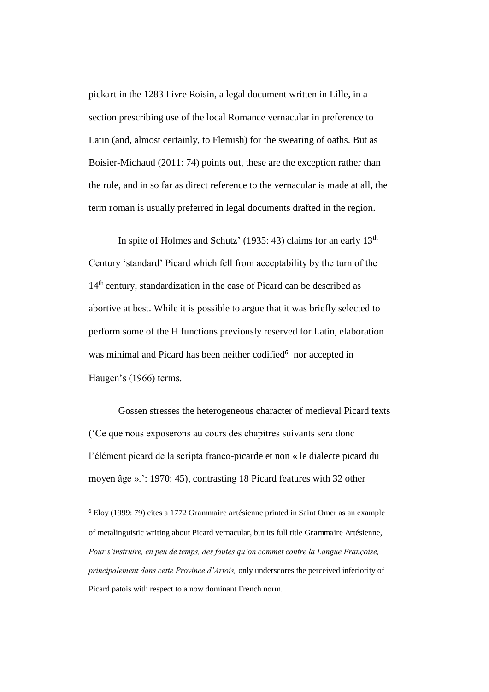pickart in the 1283 Livre Roisin, a legal document written in Lille, in a section prescribing use of the local Romance vernacular in preference to Latin (and, almost certainly, to Flemish) for the swearing of oaths. But as Boisier-Michaud (2011: 74) points out, these are the exception rather than the rule, and in so far as direct reference to the vernacular is made at all, the term roman is usually preferred in legal documents drafted in the region.

In spite of Holmes and Schutz' (1935: 43) claims for an early 13<sup>th</sup> Century 'standard' Picard which fell from acceptability by the turn of the 14<sup>th</sup> century, standardization in the case of Picard can be described as abortive at best. While it is possible to argue that it was briefly selected to perform some of the H functions previously reserved for Latin, elaboration was minimal and Picard has been neither codified<sup>6</sup> nor accepted in Haugen's (1966) terms.

Gossen stresses the heterogeneous character of medieval Picard texts ('Ce que nous exposerons au cours des chapitres suivants sera donc l'élément picard de la scripta franco-picarde et non « le dialecte picard du moyen âge ».': 1970: 45), contrasting 18 Picard features with 32 other

<sup>6</sup> Eloy (1999: 79) cites a 1772 Grammaire artésienne printed in Saint Omer as an example of metalinguistic writing about Picard vernacular, but its full title Grammaire Artésienne, *Pour s'instruire, en peu de temps, des fautes qu'on commet contre la Langue Françoise, principalement dans cette Province d'Artois,* only underscores the perceived inferiority of Picard patois with respect to a now dominant French norm.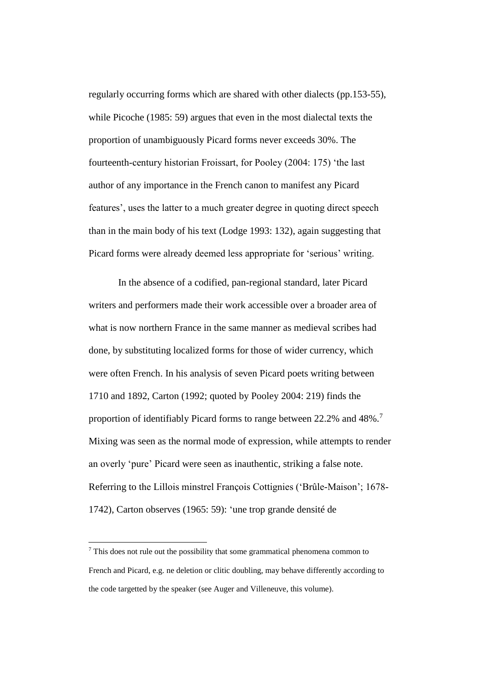regularly occurring forms which are shared with other dialects (pp.153-55), while Picoche (1985: 59) argues that even in the most dialectal texts the proportion of unambiguously Picard forms never exceeds 30%. The fourteenth-century historian Froissart, for Pooley (2004: 175) 'the last author of any importance in the French canon to manifest any Picard features', uses the latter to a much greater degree in quoting direct speech than in the main body of his text (Lodge 1993: 132), again suggesting that Picard forms were already deemed less appropriate for 'serious' writing.

In the absence of a codified, pan-regional standard, later Picard writers and performers made their work accessible over a broader area of what is now northern France in the same manner as medieval scribes had done, by substituting localized forms for those of wider currency, which were often French. In his analysis of seven Picard poets writing between 1710 and 1892, Carton (1992; quoted by Pooley 2004: 219) finds the proportion of identifiably Picard forms to range between 22.2% and 48%.<sup>7</sup> Mixing was seen as the normal mode of expression, while attempts to render an overly 'pure' Picard were seen as inauthentic, striking a false note. Referring to the Lillois minstrel François Cottignies ('Brûle-Maison'; 1678- 1742), Carton observes (1965: 59): 'une trop grande densité de

<sup>&</sup>lt;sup>7</sup> This does not rule out the possibility that some grammatical phenomena common to French and Picard, e.g. ne deletion or clitic doubling, may behave differently according to the code targetted by the speaker (see Auger and Villeneuve, this volume).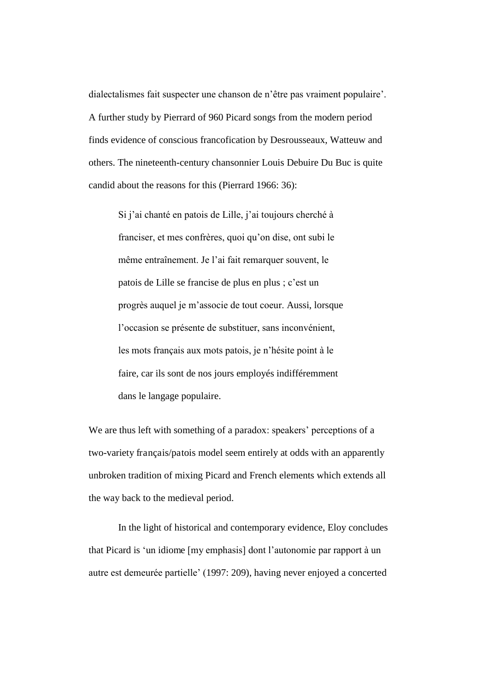dialectalismes fait suspecter une chanson de n'être pas vraiment populaire'. A further study by Pierrard of 960 Picard songs from the modern period finds evidence of conscious francofication by Desrousseaux, Watteuw and others. The nineteenth-century chansonnier Louis Debuire Du Buc is quite candid about the reasons for this (Pierrard 1966: 36):

Si j'ai chanté en patois de Lille, j'ai toujours cherché à franciser, et mes confrères, quoi qu'on dise, ont subi le même entraînement. Je l'ai fait remarquer souvent, le patois de Lille se francise de plus en plus ; c'est un progrès auquel je m'associe de tout coeur. Aussi, lorsque l'occasion se présente de substituer, sans inconvénient, les mots français aux mots patois, je n'hésite point à le faire, car ils sont de nos jours employés indifféremment dans le langage populaire.

We are thus left with something of a paradox: speakers' perceptions of a two-variety français/patois model seem entirely at odds with an apparently unbroken tradition of mixing Picard and French elements which extends all the way back to the medieval period.

In the light of historical and contemporary evidence, Eloy concludes that Picard is 'un idiome [my emphasis] dont l'autonomie par rapport à un autre est demeurée partielle' (1997: 209), having never enjoyed a concerted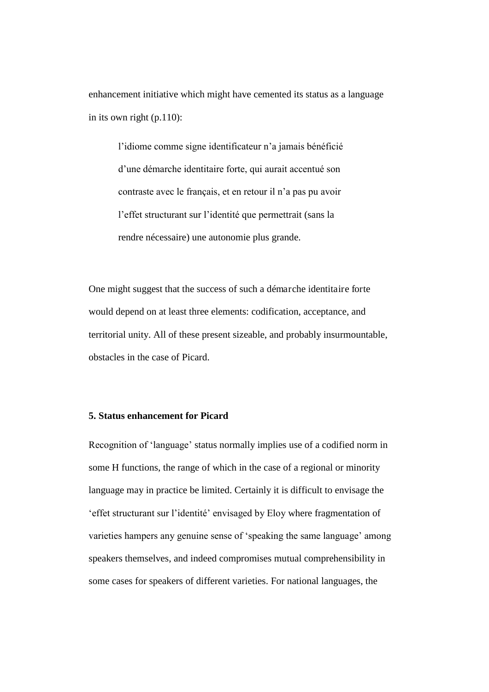enhancement initiative which might have cemented its status as a language in its own right (p.110):

l'idiome comme signe identificateur n'a jamais bénéficié d'une démarche identitaire forte, qui aurait accentué son contraste avec le français, et en retour il n'a pas pu avoir l'effet structurant sur l'identité que permettrait (sans la rendre nécessaire) une autonomie plus grande.

One might suggest that the success of such a démarche identitaire forte would depend on at least three elements: codification, acceptance, and territorial unity. All of these present sizeable, and probably insurmountable, obstacles in the case of Picard.

#### **5. Status enhancement for Picard**

Recognition of 'language' status normally implies use of a codified norm in some H functions, the range of which in the case of a regional or minority language may in practice be limited. Certainly it is difficult to envisage the 'effet structurant sur l'identité' envisaged by Eloy where fragmentation of varieties hampers any genuine sense of 'speaking the same language' among speakers themselves, and indeed compromises mutual comprehensibility in some cases for speakers of different varieties. For national languages, the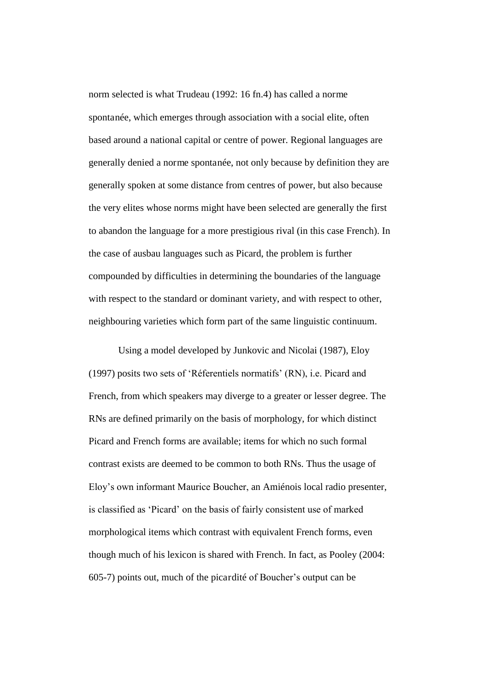norm selected is what Trudeau (1992: 16 fn.4) has called a norme spontanée, which emerges through association with a social elite, often based around a national capital or centre of power. Regional languages are generally denied a norme spontanée, not only because by definition they are generally spoken at some distance from centres of power, but also because the very elites whose norms might have been selected are generally the first to abandon the language for a more prestigious rival (in this case French). In the case of ausbau languages such as Picard, the problem is further compounded by difficulties in determining the boundaries of the language with respect to the standard or dominant variety, and with respect to other, neighbouring varieties which form part of the same linguistic continuum.

Using a model developed by Junkovic and Nicolai (1987), Eloy (1997) posits two sets of 'Réferentiels normatifs' (RN), i.e. Picard and French, from which speakers may diverge to a greater or lesser degree. The RNs are defined primarily on the basis of morphology, for which distinct Picard and French forms are available; items for which no such formal contrast exists are deemed to be common to both RNs. Thus the usage of Eloy's own informant Maurice Boucher, an Amiénois local radio presenter, is classified as 'Picard' on the basis of fairly consistent use of marked morphological items which contrast with equivalent French forms, even though much of his lexicon is shared with French. In fact, as Pooley (2004: 605-7) points out, much of the picardité of Boucher's output can be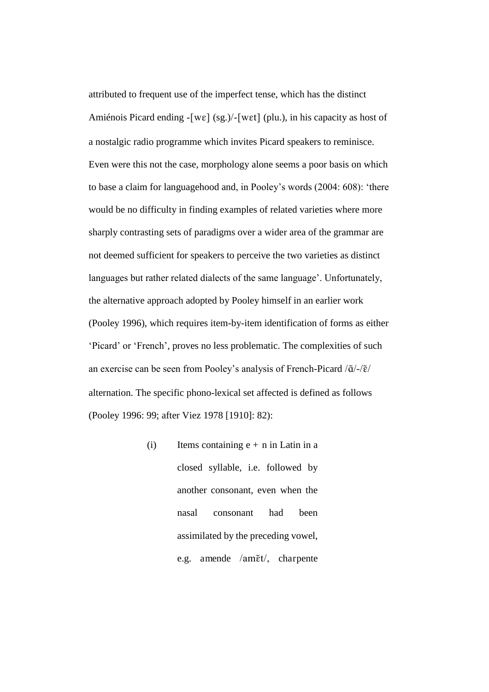attributed to frequent use of the imperfect tense, which has the distinct Amiénois Picard ending - [wɛ] (sg.)/- [wɛt] (plu.), in his capacity as host of a nostalgic radio programme which invites Picard speakers to reminisce. Even were this not the case, morphology alone seems a poor basis on which to base a claim for languagehood and, in Pooley's words (2004: 608): 'there would be no difficulty in finding examples of related varieties where more sharply contrasting sets of paradigms over a wider area of the grammar are not deemed sufficient for speakers to perceive the two varieties as distinct languages but rather related dialects of the same language'. Unfortunately, the alternative approach adopted by Pooley himself in an earlier work (Pooley 1996), which requires item-by-item identification of forms as either 'Picard' or 'French', proves no less problematic. The complexities of such an exercise can be seen from Pooley's analysis of French-Picard  $\sqrt{\tilde{a}}$  -/ $\tilde{\epsilon}$ / alternation. The specific phono-lexical set affected is defined as follows (Pooley 1996: 99; after Viez 1978 [1910]: 82):

> (i) Items containing  $e + n$  in Latin in a closed syllable, i.e. followed by another consonant, even when the nasal consonant had been assimilated by the preceding vowel, e.g. amende  $/\text{am\~et}$ , charpente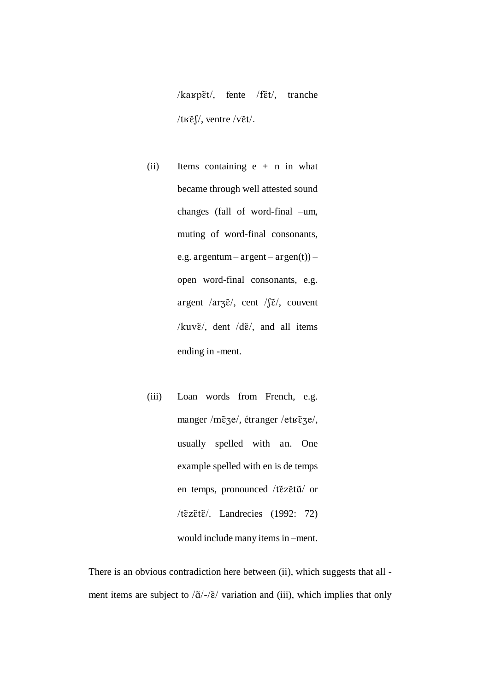$\frac{1}{k}$  ka $\frac{1}{k}$  fente  $\frac{1}{k}$  fente  $\frac{1}{k}$  tranche / $t \times \tilde{\epsilon}$  //, ventre /v $\tilde{\epsilon} t$ /.

- (ii) Items containing  $e + n$  in what became through well attested sound changes (fall of word-final *–*um, muting of word-final consonants, e.g. argentum *–* argent *–* argen(t)) – open word-final consonants, e.g. argent /ar $\overline{z}\tilde{\epsilon}$ /, cent / $\overline{\epsilon}$ /, couvent / $kuv\tilde{\epsilon}$ , dent /d $\tilde{\epsilon}$ /, and all items ending in -ment.
- (iii) Loan words from French, e.g. manger / mẽ3e/, étranger / etʁɛ̃3e/, usually spelled with an. One example spelled with en is de temps en temps, pronounced /tɛ̃zɛ̃tã/ or /tẽzẽtẽ/. Landrecies (1992: 72) would include many items in –ment.

There is an obvious contradiction here between (ii), which suggests that all ment items are subject to  $\sqrt{\tilde{q}}$  /- $\sqrt{\tilde{\epsilon}}$  variation and (iii), which implies that only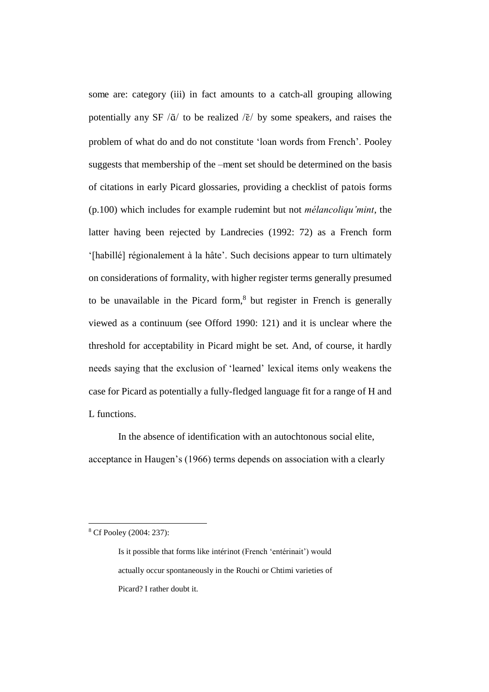some are: category (iii) in fact amounts to a catch-all grouping allowing potentially any SF  $\overline{a}$  to be realized  $\overline{\epsilon}$  by some speakers, and raises the problem of what do and do not constitute 'loan words from French'. Pooley suggests that membership of the *–*ment set should be determined on the basis of citations in early Picard glossaries, providing a checklist of patois forms (p.100) which includes for example rudemint but not *mélancoliqu'mint*, the latter having been rejected by Landrecies (1992: 72) as a French form '[habillé] régionalement à la hâte'. Such decisions appear to turn ultimately on considerations of formality, with higher register terms generally presumed to be unavailable in the Picard form, $8$  but register in French is generally viewed as a continuum (see Offord 1990: 121) and it is unclear where the threshold for acceptability in Picard might be set. And, of course, it hardly needs saying that the exclusion of 'learned' lexical items only weakens the case for Picard as potentially a fully-fledged language fit for a range of H and L functions.

In the absence of identification with an autochtonous social elite, acceptance in Haugen's (1966) terms depends on association with a clearly

<sup>8</sup> Cf Pooley (2004: 237):

Is it possible that forms like intérinot (French 'entérinait') would actually occur spontaneously in the Rouchi or Chtimi varieties of Picard? I rather doubt it.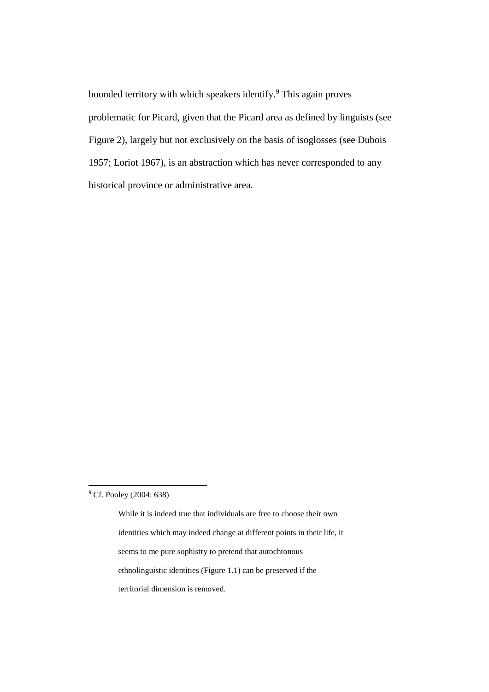bounded territory with which speakers identify.<sup>9</sup> This again proves problematic for Picard, given that the Picard area as defined by linguists (see Figure 2), largely but not exclusively on the basis of isoglosses (see Dubois 1957; Loriot 1967), is an abstraction which has never corresponded to any historical province or administrative area.

<sup>&</sup>lt;sup>9</sup> Cf. Pooley (2004: 638)

While it is indeed true that individuals are free to choose their own identities which may indeed change at different points in their life, it seems to me pure sophistry to pretend that autochtonous ethnolinguistic identities (Figure 1.1) can be preserved if the territorial dimension is removed.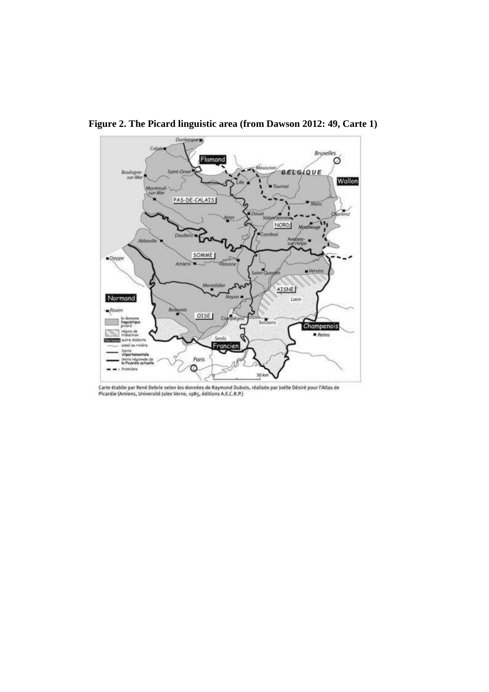

**Figure 2. The Picard linguistic area (from Dawson 2012: 49, Carte 1)**

Carte établie par René Debrie selon les données de Raymond Dubois, réalisée par Joëlle Désiré pour l'Atlas de<br>Picardie (Amiens, Université Jules Verne, 1985, éditions A.E.C.R.P.)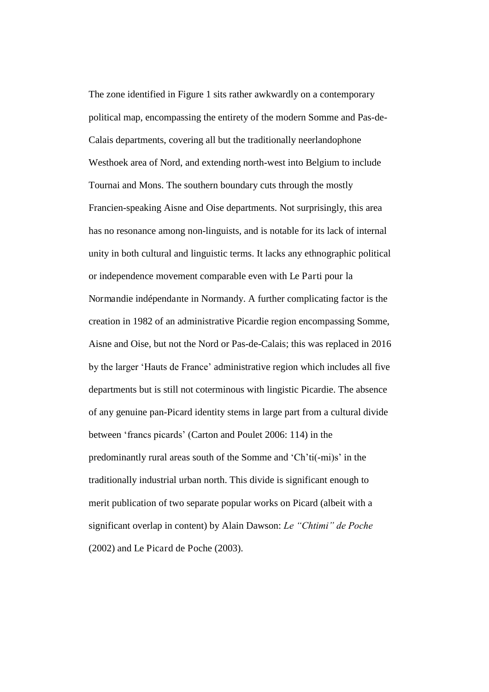The zone identified in Figure 1 sits rather awkwardly on a contemporary political map, encompassing the entirety of the modern Somme and Pas-de-Calais departments, covering all but the traditionally neerlandophone Westhoek area of Nord, and extending north-west into Belgium to include Tournai and Mons. The southern boundary cuts through the mostly Francien-speaking Aisne and Oise departments. Not surprisingly, this area has no resonance among non-linguists, and is notable for its lack of internal unity in both cultural and linguistic terms. It lacks any ethnographic political or independence movement comparable even with Le Parti pour la Normandie indépendante in Normandy. A further complicating factor is the creation in 1982 of an administrative Picardie region encompassing Somme, Aisne and Oise, but not the Nord or Pas-de-Calais; this was replaced in 2016 by the larger 'Hauts de France' administrative region which includes all five departments but is still not coterminous with lingistic Picardie. The absence of any genuine pan-Picard identity stems in large part from a cultural divide between 'francs picards' (Carton and Poulet 2006: 114) in the predominantly rural areas south of the Somme and 'Ch'ti(-mi)s' in the traditionally industrial urban north. This divide is significant enough to merit publication of two separate popular works on Picard (albeit with a significant overlap in content) by Alain Dawson: *Le "Chtimi" de Poche* (2002) and Le Picard de Poche (2003).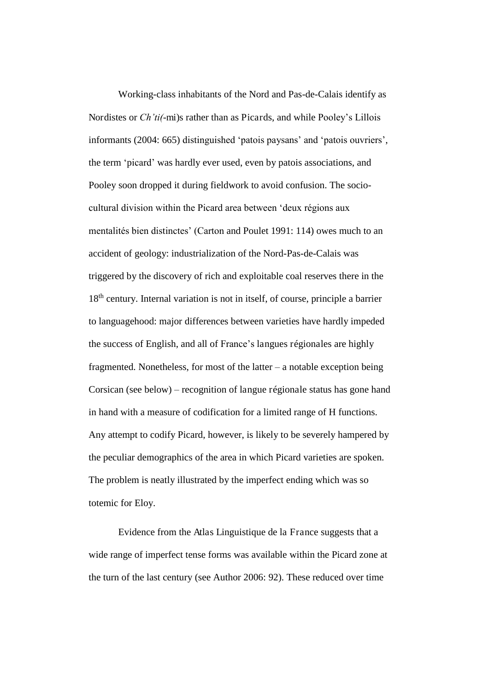Working-class inhabitants of the Nord and Pas-de-Calais identify as Nordistes or *Ch'ti(*-mi)s rather than as Picards, and while Pooley's Lillois informants (2004: 665) distinguished 'patois paysans' and 'patois ouvriers', the term 'picard' was hardly ever used, even by patois associations, and Pooley soon dropped it during fieldwork to avoid confusion. The sociocultural division within the Picard area between 'deux régions aux mentalités bien distinctes' (Carton and Poulet 1991: 114) owes much to an accident of geology: industrialization of the Nord-Pas-de-Calais was triggered by the discovery of rich and exploitable coal reserves there in the 18<sup>th</sup> century. Internal variation is not in itself, of course, principle a barrier to languagehood: major differences between varieties have hardly impeded the success of English, and all of France's langues régionales are highly fragmented. Nonetheless, for most of the latter – a notable exception being Corsican (see below) – recognition of langue régionale status has gone hand in hand with a measure of codification for a limited range of H functions. Any attempt to codify Picard, however, is likely to be severely hampered by the peculiar demographics of the area in which Picard varieties are spoken. The problem is neatly illustrated by the imperfect ending which was so totemic for Eloy.

Evidence from the Atlas Linguistique de la France suggests that a wide range of imperfect tense forms was available within the Picard zone at the turn of the last century (see Author 2006: 92). These reduced over time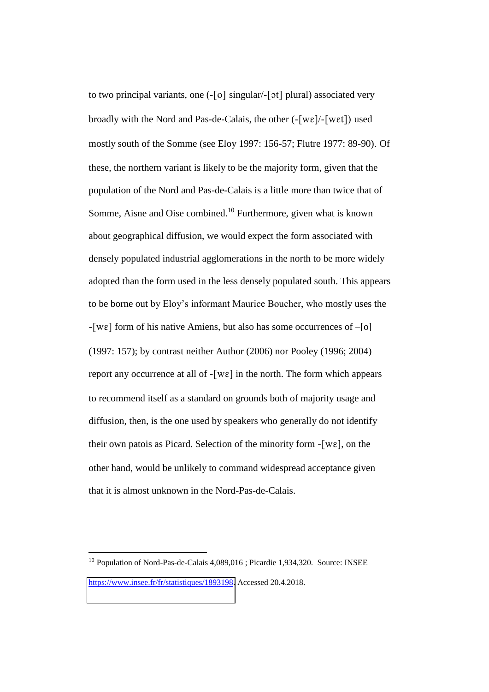to two principal variants, one  $(-\lceil o \rceil \text{ singular}/\lceil o \rceil \text{ plural})$  associated very broadly with the Nord and Pas-de-Calais, the other  $(-[w\varepsilon]/[w\varepsilon])$  used mostly south of the Somme (see Eloy 1997: 156-57; Flutre 1977: 89-90). Of these, the northern variant is likely to be the majority form, given that the population of the Nord and Pas-de-Calais is a little more than twice that of Somme, Aisne and Oise combined.<sup>10</sup> Furthermore, given what is known about geographical diffusion, we would expect the form associated with densely populated industrial agglomerations in the north to be more widely adopted than the form used in the less densely populated south. This appears to be borne out by Eloy's informant Maurice Boucher, who mostly uses the  $-[w\epsilon]$  form of his native Amiens, but also has some occurrences of  $-[o]$ (1997: 157); by contrast neither Author (2006) nor Pooley (1996; 2004) report any occurrence at all of  $-[w\epsilon]$  in the north. The form which appears to recommend itself as a standard on grounds both of majority usage and diffusion, then, is the one used by speakers who generally do not identify their own patois as Picard. Selection of the minority form  $-[w\epsilon]$ , on the other hand, would be unlikely to command widespread acceptance given that it is almost unknown in the Nord-Pas-de-Calais.

<sup>&</sup>lt;sup>10</sup> Population of Nord-Pas-de-Calais 4,089,016 ; Picardie 1,934,320. Source: INSEE [https://www.insee.fr/fr/statistiques/1893198.](https://www.insee.fr/fr/statistiques/1893198) Accessed 20.4.2018.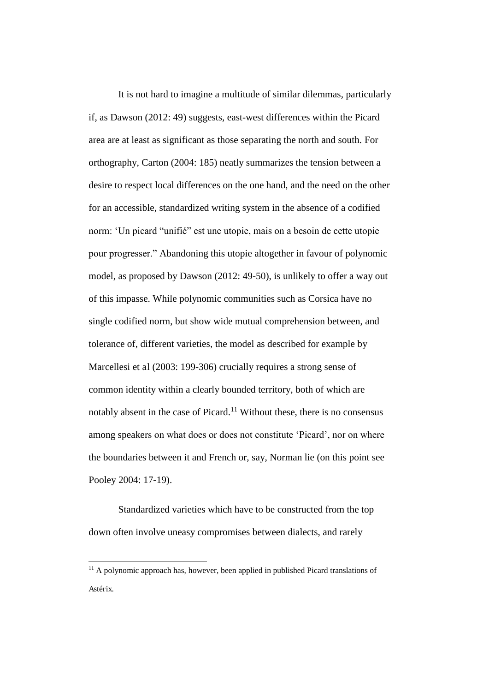It is not hard to imagine a multitude of similar dilemmas, particularly if, as Dawson (2012: 49) suggests, east-west differences within the Picard area are at least as significant as those separating the north and south. For orthography, Carton (2004: 185) neatly summarizes the tension between a desire to respect local differences on the one hand, and the need on the other for an accessible, standardized writing system in the absence of a codified norm: 'Un picard "unifié" est une utopie, mais on a besoin de cette utopie pour progresser." Abandoning this utopie altogether in favour of polynomic model, as proposed by Dawson (2012: 49-50), is unlikely to offer a way out of this impasse. While polynomic communities such as Corsica have no single codified norm, but show wide mutual comprehension between, and tolerance of, different varieties, the model as described for example by Marcellesi et al (2003: 199-306) crucially requires a strong sense of common identity within a clearly bounded territory, both of which are notably absent in the case of Picard.<sup>11</sup> Without these, there is no consensus among speakers on what does or does not constitute 'Picard', nor on where the boundaries between it and French or, say, Norman lie (on this point see Pooley 2004: 17-19).

Standardized varieties which have to be constructed from the top down often involve uneasy compromises between dialects, and rarely

<sup>&</sup>lt;sup>11</sup> A polynomic approach has, however, been applied in published Picard translations of Astérix.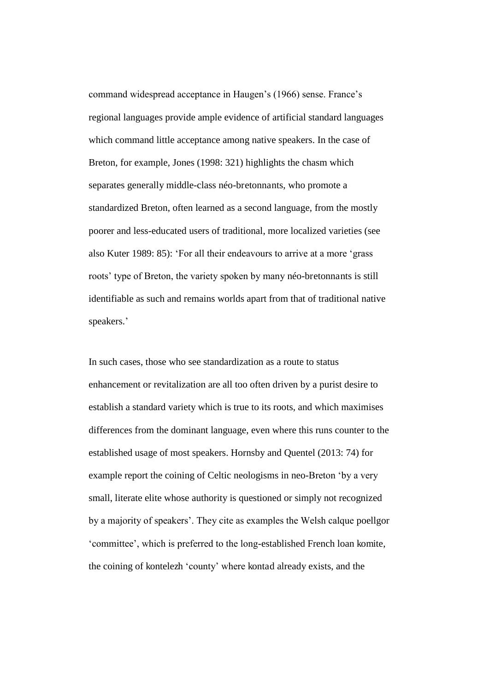command widespread acceptance in Haugen's (1966) sense. France's regional languages provide ample evidence of artificial standard languages which command little acceptance among native speakers. In the case of Breton, for example, Jones (1998: 321) highlights the chasm which separates generally middle-class néo-bretonnants, who promote a standardized Breton, often learned as a second language, from the mostly poorer and less-educated users of traditional, more localized varieties (see also Kuter 1989: 85): 'For all their endeavours to arrive at a more 'grass roots' type of Breton, the variety spoken by many néo-bretonnants is still identifiable as such and remains worlds apart from that of traditional native speakers.'

In such cases, those who see standardization as a route to status enhancement or revitalization are all too often driven by a purist desire to establish a standard variety which is true to its roots, and which maximises differences from the dominant language, even where this runs counter to the established usage of most speakers. Hornsby and Quentel (2013: 74) for example report the coining of Celtic neologisms in neo-Breton 'by a very small, literate elite whose authority is questioned or simply not recognized by a majority of speakers'. They cite as examples the Welsh calque poellgor 'committee', which is preferred to the long-established French loan komite, the coining of kontelezh 'county' where kontad already exists, and the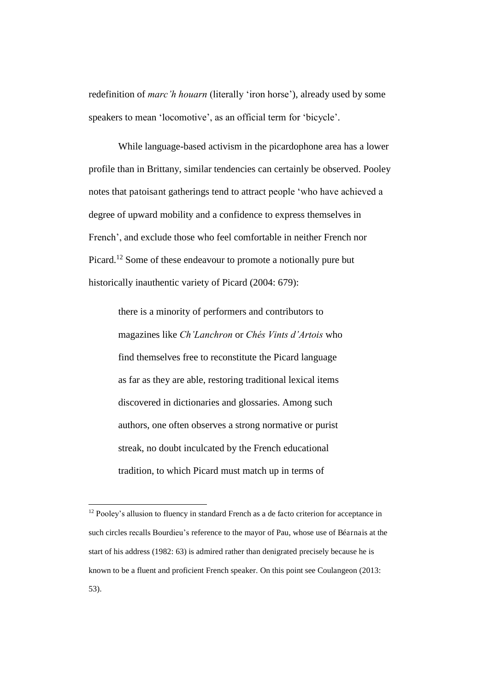redefinition of *marc'h houarn* (literally 'iron horse'), already used by some speakers to mean 'locomotive', as an official term for 'bicycle'.

While language-based activism in the picardophone area has a lower profile than in Brittany, similar tendencies can certainly be observed. Pooley notes that patoisant gatherings tend to attract people 'who have achieved a degree of upward mobility and a confidence to express themselves in French', and exclude those who feel comfortable in neither French nor Picard.<sup>12</sup> Some of these endeavour to promote a notionally pure but historically inauthentic variety of Picard (2004: 679):

there is a minority of performers and contributors to magazines like *Ch'Lanchron* or *Chés Vints d'Artois* who find themselves free to reconstitute the Picard language as far as they are able, restoring traditional lexical items discovered in dictionaries and glossaries. Among such authors, one often observes a strong normative or purist streak, no doubt inculcated by the French educational tradition, to which Picard must match up in terms of

<sup>&</sup>lt;sup>12</sup> Pooley's allusion to fluency in standard French as a de facto criterion for acceptance in such circles recalls Bourdieu's reference to the mayor of Pau, whose use of Béarnais at the start of his address (1982: 63) is admired rather than denigrated precisely because he is known to be a fluent and proficient French speaker. On this point see Coulangeon (2013: 53).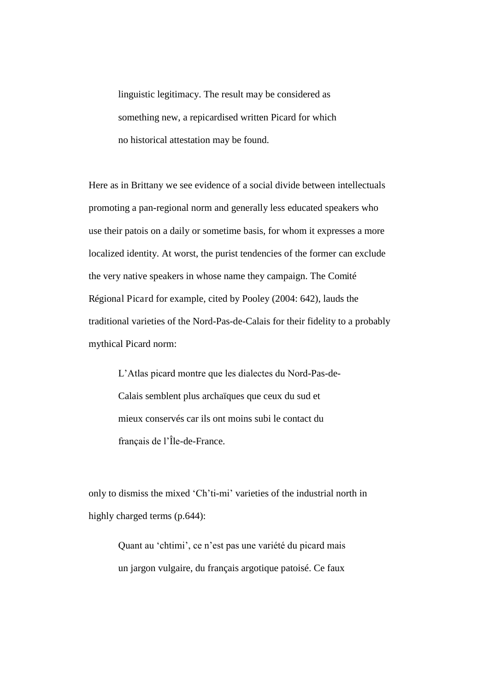linguistic legitimacy. The result may be considered as something new, a repicardised written Picard for which no historical attestation may be found.

Here as in Brittany we see evidence of a social divide between intellectuals promoting a pan-regional norm and generally less educated speakers who use their patois on a daily or sometime basis, for whom it expresses a more localized identity. At worst, the purist tendencies of the former can exclude the very native speakers in whose name they campaign. The Comité Régional Picard for example, cited by Pooley (2004: 642), lauds the traditional varieties of the Nord-Pas-de-Calais for their fidelity to a probably mythical Picard norm:

L'Atlas picard montre que les dialectes du Nord-Pas-de-Calais semblent plus archaïques que ceux du sud et mieux conservés car ils ont moins subi le contact du français de l'Île-de-France.

only to dismiss the mixed 'Ch'ti-mi' varieties of the industrial north in highly charged terms (p.644):

> Quant au 'chtimi', ce n'est pas une variété du picard mais un jargon vulgaire, du français argotique patoisé. Ce faux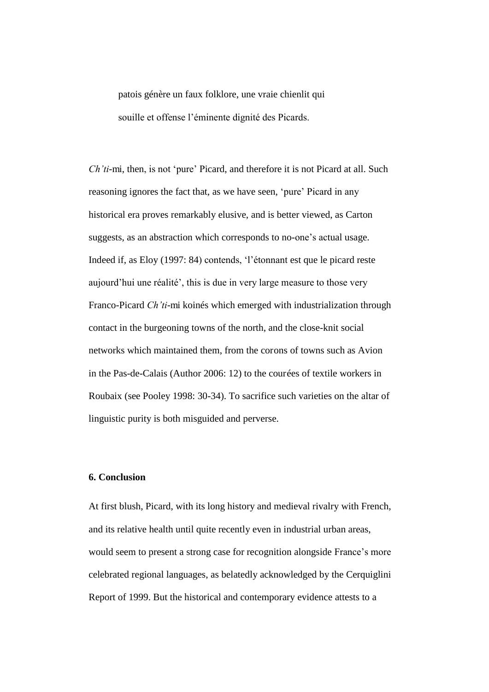patois génère un faux folklore, une vraie chienlit qui souille et offense l'éminente dignité des Picards.

*Ch'ti*-mi, then, is not 'pure' Picard, and therefore it is not Picard at all. Such reasoning ignores the fact that, as we have seen, 'pure' Picard in any historical era proves remarkably elusive, and is better viewed, as Carton suggests, as an abstraction which corresponds to no-one's actual usage. Indeed if, as Eloy (1997: 84) contends, 'l'étonnant est que le picard reste aujourd'hui une réalité', this is due in very large measure to those very Franco-Picard *Ch'ti*-mi koinés which emerged with industrialization through contact in the burgeoning towns of the north, and the close-knit social networks which maintained them, from the corons of towns such as Avion in the Pas-de-Calais (Author 2006: 12) to the courées of textile workers in Roubaix (see Pooley 1998: 30-34). To sacrifice such varieties on the altar of linguistic purity is both misguided and perverse.

#### **6. Conclusion**

At first blush, Picard, with its long history and medieval rivalry with French, and its relative health until quite recently even in industrial urban areas, would seem to present a strong case for recognition alongside France's more celebrated regional languages, as belatedly acknowledged by the Cerquiglini Report of 1999. But the historical and contemporary evidence attests to a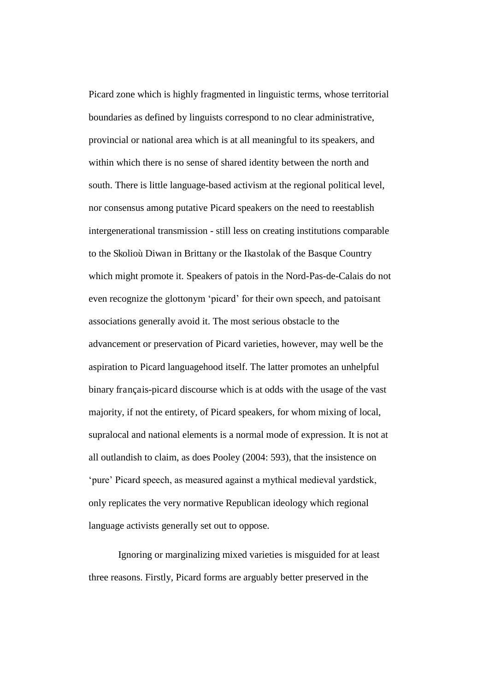Picard zone which is highly fragmented in linguistic terms, whose territorial boundaries as defined by linguists correspond to no clear administrative, provincial or national area which is at all meaningful to its speakers, and within which there is no sense of shared identity between the north and south. There is little language-based activism at the regional political level, nor consensus among putative Picard speakers on the need to reestablish intergenerational transmission - still less on creating institutions comparable to the Skolioù Diwan in Brittany or the Ikastolak of the Basque Country which might promote it. Speakers of patois in the Nord-Pas-de-Calais do not even recognize the glottonym 'picard' for their own speech, and patoisant associations generally avoid it. The most serious obstacle to the advancement or preservation of Picard varieties, however, may well be the aspiration to Picard languagehood itself. The latter promotes an unhelpful binary français-picard discourse which is at odds with the usage of the vast majority, if not the entirety, of Picard speakers, for whom mixing of local, supralocal and national elements is a normal mode of expression. It is not at all outlandish to claim, as does Pooley (2004: 593), that the insistence on 'pure' Picard speech, as measured against a mythical medieval yardstick, only replicates the very normative Republican ideology which regional language activists generally set out to oppose.

Ignoring or marginalizing mixed varieties is misguided for at least three reasons. Firstly, Picard forms are arguably better preserved in the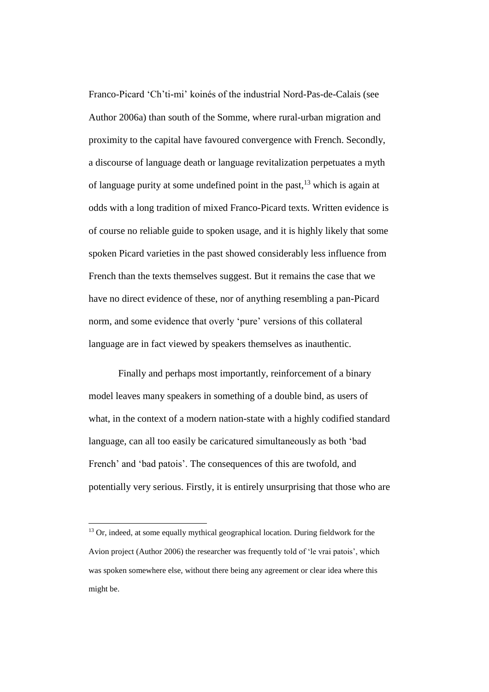Franco-Picard 'Ch'ti-mi' koinés of the industrial Nord-Pas-de-Calais (see Author 2006a) than south of the Somme, where rural-urban migration and proximity to the capital have favoured convergence with French. Secondly, a discourse of language death or language revitalization perpetuates a myth of language purity at some undefined point in the past, <sup>13</sup> which is again at odds with a long tradition of mixed Franco-Picard texts. Written evidence is of course no reliable guide to spoken usage, and it is highly likely that some spoken Picard varieties in the past showed considerably less influence from French than the texts themselves suggest. But it remains the case that we have no direct evidence of these, nor of anything resembling a pan-Picard norm, and some evidence that overly 'pure' versions of this collateral language are in fact viewed by speakers themselves as inauthentic.

Finally and perhaps most importantly, reinforcement of a binary model leaves many speakers in something of a double bind, as users of what, in the context of a modern nation-state with a highly codified standard language, can all too easily be caricatured simultaneously as both 'bad French' and 'bad patois'. The consequences of this are twofold, and potentially very serious. Firstly, it is entirely unsurprising that those who are

<sup>&</sup>lt;sup>13</sup> Or, indeed, at some equally mythical geographical location. During fieldwork for the Avion project (Author 2006) the researcher was frequently told of 'le vrai patois', which was spoken somewhere else, without there being any agreement or clear idea where this might be.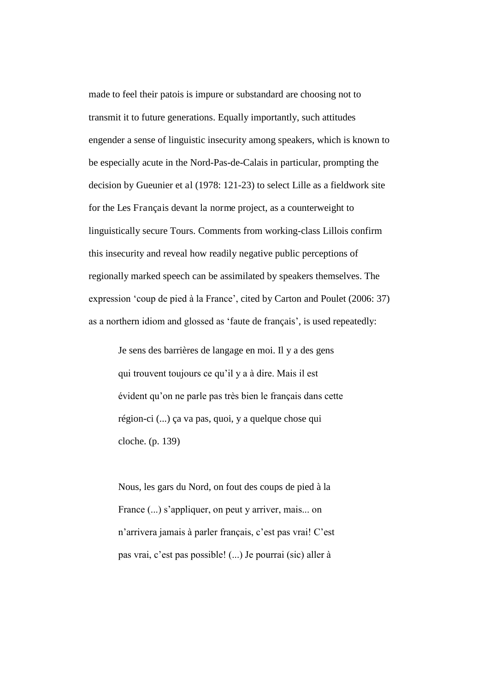made to feel their patois is impure or substandard are choosing not to transmit it to future generations. Equally importantly, such attitudes engender a sense of linguistic insecurity among speakers, which is known to be especially acute in the Nord-Pas-de-Calais in particular, prompting the decision by Gueunier et al (1978: 121-23) to select Lille as a fieldwork site for the Les Français devant la norme project, as a counterweight to linguistically secure Tours. Comments from working-class Lillois confirm this insecurity and reveal how readily negative public perceptions of regionally marked speech can be assimilated by speakers themselves. The expression 'coup de pied à la France', cited by Carton and Poulet (2006: 37) as a northern idiom and glossed as 'faute de français', is used repeatedly:

Je sens des barrières de langage en moi. Il y a des gens qui trouvent toujours ce qu'il y a à dire. Mais il est évident qu'on ne parle pas très bien le français dans cette région-ci (...) ça va pas, quoi, y a quelque chose qui cloche. (p. 139)

Nous, les gars du Nord, on fout des coups de pied à la France (...) s'appliquer, on peut y arriver, mais... on n'arrivera jamais à parler français, c'est pas vrai! C'est pas vrai, c'est pas possible! (...) Je pourrai (sic) aller à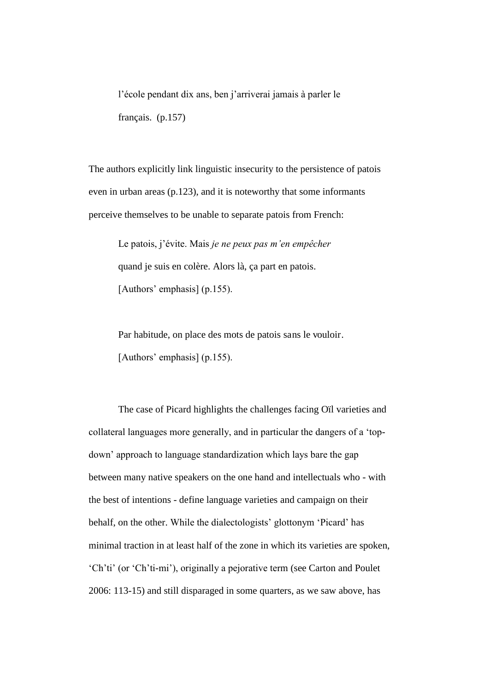l'école pendant dix ans, ben j'arriverai jamais à parler le français. (p.157)

The authors explicitly link linguistic insecurity to the persistence of patois even in urban areas (p.123), and it is noteworthy that some informants perceive themselves to be unable to separate patois from French:

> Le patois, j'évite. Mais *je ne peux pas m'en empêcher* quand je suis en colère. Alors là, ça part en patois. [Authors' emphasis] (p.155).

Par habitude, on place des mots de patois sans le vouloir. [Authors' emphasis] (p.155).

The case of Picard highlights the challenges facing Oïl varieties and collateral languages more generally, and in particular the dangers of a 'topdown' approach to language standardization which lays bare the gap between many native speakers on the one hand and intellectuals who - with the best of intentions - define language varieties and campaign on their behalf, on the other. While the dialectologists' glottonym 'Picard' has minimal traction in at least half of the zone in which its varieties are spoken, 'Ch'ti' (or 'Ch'ti-mi'), originally a pejorative term (see Carton and Poulet 2006: 113-15) and still disparaged in some quarters, as we saw above, has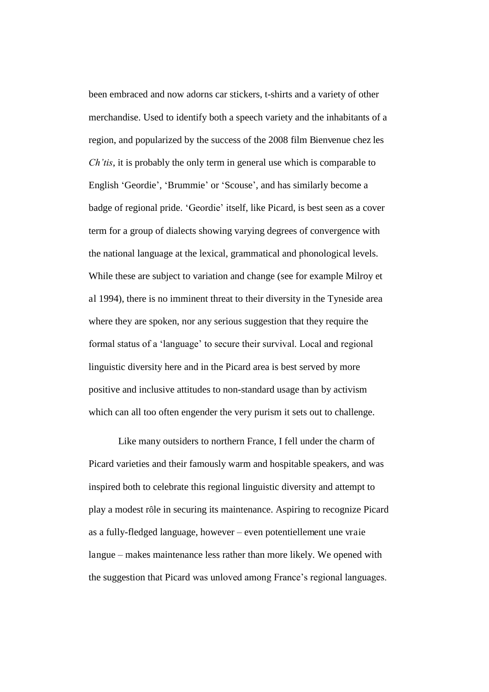been embraced and now adorns car stickers, t-shirts and a variety of other merchandise. Used to identify both a speech variety and the inhabitants of a region, and popularized by the success of the 2008 film Bienvenue chez les *Ch'tis*, it is probably the only term in general use which is comparable to English 'Geordie', 'Brummie' or 'Scouse', and has similarly become a badge of regional pride. 'Geordie' itself, like Picard, is best seen as a cover term for a group of dialects showing varying degrees of convergence with the national language at the lexical, grammatical and phonological levels. While these are subject to variation and change (see for example Milroy et al 1994), there is no imminent threat to their diversity in the Tyneside area where they are spoken, nor any serious suggestion that they require the formal status of a 'language' to secure their survival. Local and regional linguistic diversity here and in the Picard area is best served by more positive and inclusive attitudes to non-standard usage than by activism which can all too often engender the very purism it sets out to challenge.

Like many outsiders to northern France, I fell under the charm of Picard varieties and their famously warm and hospitable speakers, and was inspired both to celebrate this regional linguistic diversity and attempt to play a modest rôle in securing its maintenance. Aspiring to recognize Picard as a fully-fledged language, however – even potentiellement une vraie langue – makes maintenance less rather than more likely. We opened with the suggestion that Picard was unloved among France's regional languages.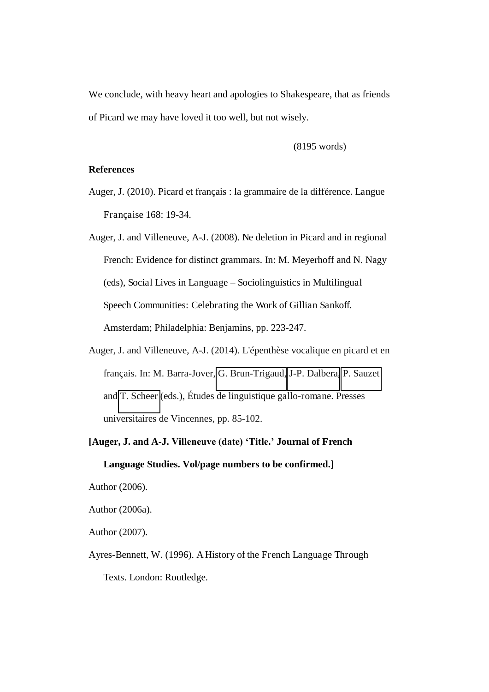We conclude, with heavy heart and apologies to Shakespeare, that as friends of Picard we may have loved it too well, but not wisely.

(8195 words)

## **References**

Auger, J. (2010). Picard et français : la grammaire de la différence. Langue Française 168: 19-34.

Auger, J. and Villeneuve, A-J. (2008). Ne deletion in Picard and in regional French: Evidence for distinct grammars. In: M. Meyerhoff and N. Nagy (eds), Social Lives in Language *–* Sociolinguistics in Multilingual Speech Communities: Celebrating the Work of Gillian Sankoff. Amsterdam; Philadelphia: Benjamins, pp. 223-247.

Auger, J. and Villeneuve, A-J. (2014). L'épenthèse vocalique en picard et en français. In: M. Barra-Jover, [G. Brun-Trigaud,](https://www.cairn.info/publications-de-Brun-Trigaud-Guylaine--107693.htm) [J-P. Dalbera,](https://www.cairn.info/publications-de-Dalbera-%20Jean-Philippe--143016.htm) [P. Sauzet](https://www.cairn.info/publications-de-Sauzet-%20Patrick--74024.htm)  and [T. Scheer](https://www.cairn.info/publications-de-Scheer-%20Tobias--74025.htm) (eds.), Études de linguistique gallo-romane. Presses universitaires de Vincennes, pp. 85-102.

**[Auger, J. and A-J. Villeneuve (date) 'Title.' Journal of French Language Studies. Vol/page numbers to be confirmed.]** 

Author (2006).

Author (2006a).

Author (2007).

Ayres-Bennett, W. (1996). A History of the French Language Through Texts. London: Routledge.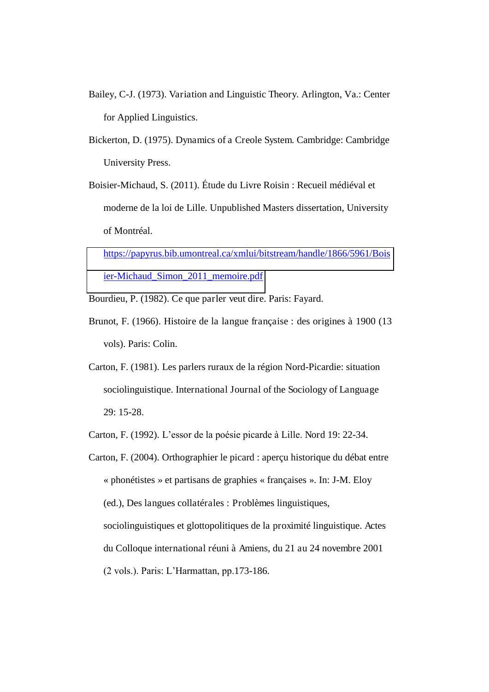- Bailey, C-J. (1973). Variation and Linguistic Theory. Arlington, Va.: Center for Applied Linguistics.
- Bickerton, D. (1975). Dynamics of a Creole System. Cambridge: Cambridge University Press.
- Boisier-Michaud, S. (2011). Étude du Livre Roisin : Recueil médiéval et moderne de la loi de Lille. Unpublished Masters dissertation, University of Montréal.

[https://papyrus.bib.umontreal.ca/xmlui/bitstream/handle/1866/5961/Bois](https://papyrus.bib.umontreal.ca/xmlui/bitstream/handle/1866/5961/Boisier-Michaud_Simon_2011_memoire.pdf) [ier-Michaud\\_Simon\\_2011\\_memoire.pdf](https://papyrus.bib.umontreal.ca/xmlui/bitstream/handle/1866/5961/Boisier-Michaud_Simon_2011_memoire.pdf) 

- Bourdieu, P. (1982). Ce que parler veut dire. Paris: Fayard.
- Brunot, F. (1966). Histoire de la langue française : des origines à 1900 (13 vols). Paris: Colin.
- Carton, F. (1981). Les parlers ruraux de la région Nord-Picardie: situation sociolinguistique. International Journal of the Sociology of Language 29: 15-28.
- Carton, F. (1992). L'essor de la poésie picarde à Lille. Nord 19: 22-34.
- Carton, F. (2004). Orthographier le picard : aperçu historique du débat entre « phonétistes » et partisans de graphies « françaises ». In: J-M. Eloy (ed.), Des langues collatérales : Problèmes linguistiques, sociolinguistiques et glottopolitiques de la proximité linguistique. Actes du Colloque international réuni à Amiens, du 21 au 24 novembre 2001 (2 vols.). Paris: L'Harmattan, pp.173-186.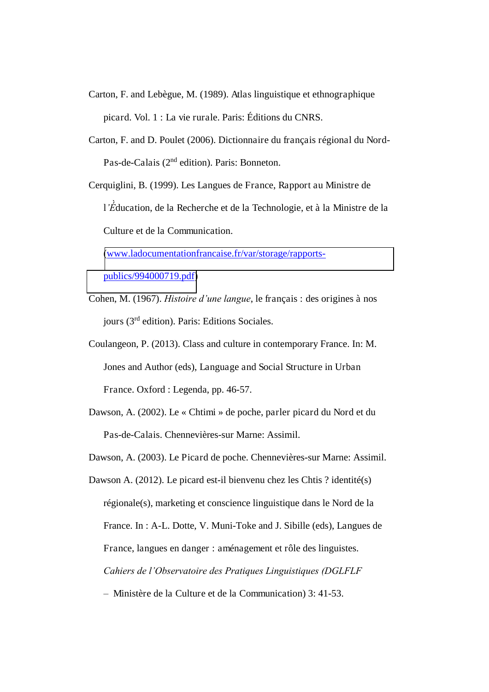- Carton, F. and Lebègue, M. (1989). Atlas linguistique et ethnographique picard. Vol. 1 : La vie rurale. Paris: Éditions du CNRS.
- Carton, F. and D. Poulet (2006). Dictionnaire du français régional du Nord-Pas-de-Calais (2nd edition). Paris: Bonneton.

Cerquiglini, B. (1999). Les Langues de France, Rapport au Ministre de l*'ÉA*ducation, de la Recherche et de la Technologie, et à la Ministre de la Culture et de la Communication.

[\(www.ladocumentationfrancaise.fr/var/storage/rapports-](http://www.ladocumentationfrancaise.fr/var/storage/rapports-publics/994000719.pdf)

[publics/994000719.pdf\)](http://www.ladocumentationfrancaise.fr/var/storage/rapports-publics/994000719.pdf)

- Cohen, M. (1967). *Histoire d'une langue*, le français : des origines à nos jours (3rd edition). Paris: Editions Sociales.
- Coulangeon, P. (2013). Class and culture in contemporary France. In: M. Jones and Author (eds), Language and Social Structure in Urban France. Oxford : Legenda, pp. 46-57.
- Dawson, A. (2002). Le « Chtimi » de poche, parler picard du Nord et du Pas-de-Calais. Chennevières-sur Marne: Assimil.

Dawson, A. (2003). Le Picard de poche. Chennevières-sur Marne: Assimil.

- Dawson A. (2012). Le picard est-il bienvenu chez les Chtis ? identité(s) régionale(s), marketing et conscience linguistique dans le Nord de la France. In : A-L. Dotte, V. Muni-Toke and J. Sibille (eds), Langues de France, langues en danger : aménagement et rôle des linguistes. *Cahiers de l'Observatoire des Pratiques Linguistiques (DGLFLF* 
	- *–* Ministère de la Culture et de la Communication) 3: 41-53.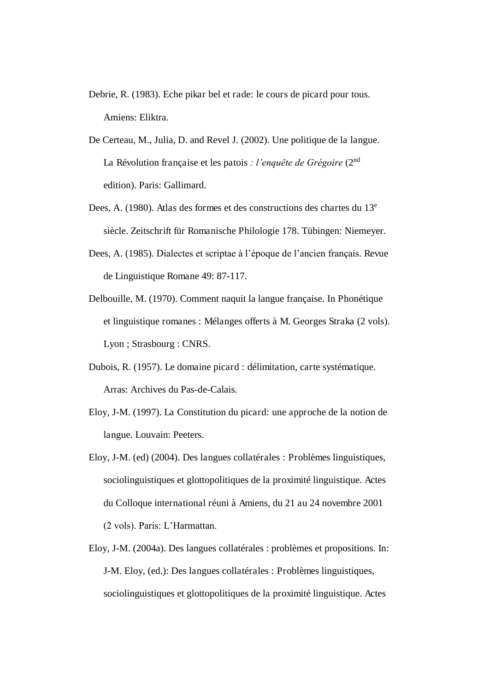- Debrie, R. (1983). Eche pikar bel et rade: le cours de picard pour tous. Amiens: Eliktra.
- De Certeau, M., Julia, D. and Revel J. (2002). Une politique de la langue. La Révolution française et les patois *: l'enquête de Grégoire* (2nd edition). Paris: Gallimard.
- Dees, A. (1980). Atlas des formes et des constructions des chartes du 13<sup>e</sup> siècle. Zeitschrift für Romanische Philologie 178. Tübingen: Niemeyer.
- Dees, A. (1985). Dialectes et scriptae à l'époque de l'ancien français. Revue de Linguistique Romane 49: 87-117.
- Delbouille, M. (1970). Comment naquit la langue française. In Phonétique et linguistique romanes : Mélanges offerts à M. Georges Straka (2 vols). Lyon ; Strasbourg : CNRS.
- Dubois, R. (1957). Le domaine picard : délimitation, carte systématique. Arras: Archives du Pas-de-Calais.
- Eloy, J-M. (1997). La Constitution du picard: une approche de la notion de langue. Louvain: Peeters.
- Eloy, J-M. (ed) (2004). Des langues collatérales : Problèmes linguistiques, sociolinguistiques et glottopolitiques de la proximité linguistique. Actes du Colloque international réuni à Amiens, du 21 au 24 novembre 2001 (2 vols). Paris: L'Harmattan.
- Eloy, J-M. (2004a). Des langues collatérales : problèmes et propositions. In: J-M. Eloy, (ed.): Des langues collatérales : Problèmes linguistiques, sociolinguistiques et glottopolitiques de la proximité linguistique. Actes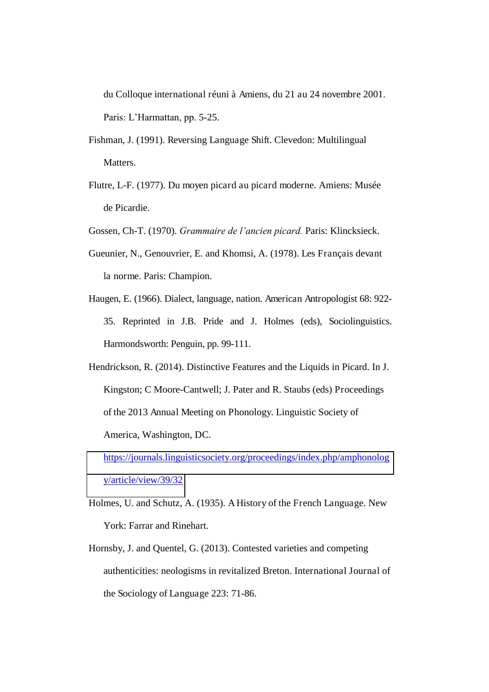du Colloque international réuni à Amiens, du 21 au 24 novembre 2001. Paris: L'Harmattan, pp. 5-25.

- Fishman, J. (1991). Reversing Language Shift. Clevedon: Multilingual Matters.
- Flutre, L-F. (1977). Du moyen picard au picard moderne. Amiens: Musée de Picardie.
- Gossen, Ch-T. (1970). *Grammaire de l'ancien picard.* Paris: Klincksieck.
- Gueunier, N., Genouvrier, E. and Khomsi, A. (1978). Les Français devant la norme. Paris: Champion.
- Haugen, E. (1966). Dialect, language, nation. American Antropologist 68: 922- 35. Reprinted in J.B. Pride and J. Holmes (eds), Sociolinguistics. Harmondsworth: Penguin, pp. 99-111.
- Hendrickson, R. (2014). Distinctive Features and the Liquids in Picard. In J. Kingston; C Moore-Cantwell; J. Pater and R. Staubs (eds) Proceedings of the 2013 Annual Meeting on Phonology. Linguistic Society of America, Washington, DC.

[https://journals.linguisticsociety.org/proceedings/index.php/amphonolog](https://journals.linguisticsociety.org/proceedings/index.php/amphonology/article/view/39/32) [y/article/view/39/32](https://journals.linguisticsociety.org/proceedings/index.php/amphonology/article/view/39/32)

- Holmes, U. and Schutz, A. (1935). A History of the French Language. New York: Farrar and Rinehart.
- Hornsby, J. and Quentel, G. (2013). Contested varieties and competing authenticities: neologisms in revitalized Breton. International Journal of the Sociology of Language 223: 71-86.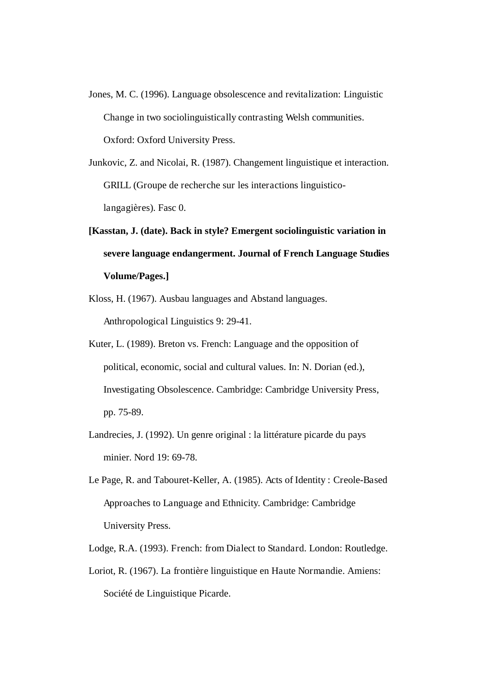Jones, M. C. (1996). Language obsolescence and revitalization: Linguistic Change in two sociolinguistically contrasting Welsh communities. Oxford: Oxford University Press.

Junkovic, Z. and Nicolai, R. (1987). Changement linguistique et interaction. GRILL (Groupe de recherche sur les interactions linguisticolangagières). Fasc 0.

- **[Kasstan, J. (date). Back in style? Emergent sociolinguistic variation in severe language endangerment. Journal of French Language Studies Volume/Pages.]**
- Kloss, H. (1967). Ausbau languages and Abstand languages. Anthropological Linguistics 9: 29-41.
- Kuter, L. (1989). Breton vs. French: Language and the opposition of political, economic, social and cultural values. In: N. Dorian (ed.), Investigating Obsolescence. Cambridge: Cambridge University Press, pp. 75-89.
- Landrecies, J. (1992). Un genre original : la littérature picarde du pays minier. Nord 19: 69-78.
- Le Page, R. and Tabouret-Keller, A. (1985). Acts of Identity : Creole-Based Approaches to Language and Ethnicity. Cambridge: Cambridge University Press.
- Lodge, R.A. (1993). French: from Dialect to Standard. London: Routledge.
- Loriot, R. (1967). La frontière linguistique en Haute Normandie. Amiens: Société de Linguistique Picarde.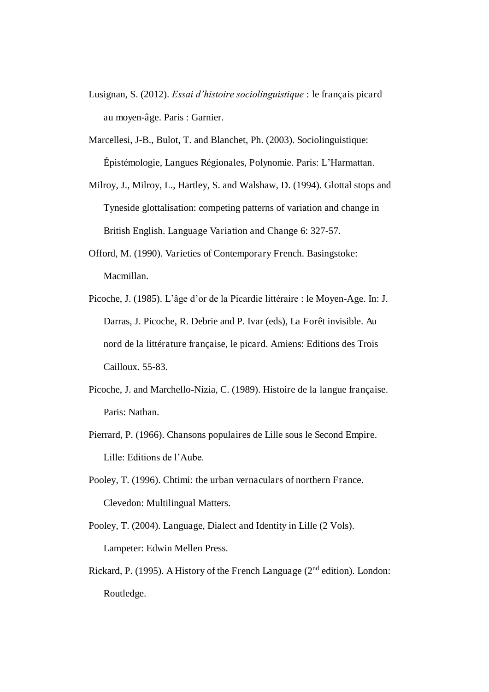- Lusignan, S. (2012). *Essai d'histoire sociolinguistique* : le français picard au moyen-âge. Paris : Garnier.
- Marcellesi, J-B., Bulot, T. and Blanchet, Ph. (2003). Sociolinguistique: Épistémologie, Langues Régionales, Polynomie. Paris: L'Harmattan.
- Milroy, J., Milroy, L., Hartley, S. and Walshaw, D. (1994). Glottal stops and Tyneside glottalisation: competing patterns of variation and change in British English. Language Variation and Change 6: 327-57.
- Offord, M. (1990). Varieties of Contemporary French. Basingstoke: Macmillan.
- Picoche, J. (1985). L'âge d'or de la Picardie littéraire : le Moyen-Age. In: J. Darras, J. Picoche, R. Debrie and P. Ivar (eds), La Forêt invisible. Au nord de la littérature française, le picard. Amiens: Editions des Trois Cailloux. 55-83.
- Picoche, J. and Marchello-Nizia, C. (1989). Histoire de la langue française. Paris: Nathan.
- Pierrard, P. (1966). Chansons populaires de Lille sous le Second Empire. Lille: Editions de l'Aube.
- Pooley, T. (1996). Chtimi: the urban vernaculars of northern France. Clevedon: Multilingual Matters.
- Pooley, T. (2004). Language, Dialect and Identity in Lille (2 Vols). Lampeter: Edwin Mellen Press.
- Rickard, P. (1995). A History of the French Language  $(2<sup>nd</sup> edition)$ . London: Routledge.